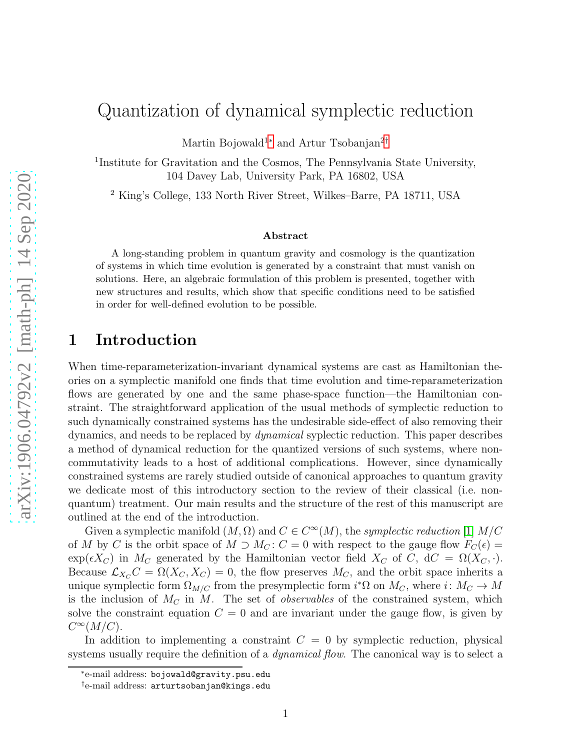# Quantization of dynamical symplectic reduction

Martin Bojowald<sup>1</sup><sup>[∗](#page-0-0)</sup> and Artur Tsobanjan<sup>2[†](#page-0-1)</sup>

<sup>1</sup>Institute for Gravitation and the Cosmos, The Pennsylvania State University, 104 Davey Lab, University Park, PA 16802, USA

<sup>2</sup> King's College, 133 North River Street, Wilkes–Barre, PA 18711, USA

#### Abstract

A long-standing problem in quantum gravity and cosmology is the quantization of systems in which time evolution is generated by a constraint that must vanish on solutions. Here, an algebraic formulation of this problem is presented, together with new structures and results, which show that specific conditions need to be satisfied in order for well-defined evolution to be possible.

## 1 Introduction

When time-reparameterization-invariant dynamical systems are cast as Hamiltonian theories on a symplectic manifold one finds that time evolution and time-reparameterization flows are generated by one and the same phase-space function—the Hamiltonian constraint. The straightforward application of the usual methods of symplectic reduction to such dynamically constrained systems has the undesirable side-effect of also removing their dynamics, and needs to be replaced by dynamical syplectic reduction. This paper describes a method of dynamical reduction for the quantized versions of such systems, where noncommutativity leads to a host of additional complications. However, since dynamically constrained systems are rarely studied outside of canonical approaches to quantum gravity we dedicate most of this introductory section to the review of their classical (i.e. nonquantum) treatment. Our main results and the structure of the rest of this manuscript are outlined at the end of the introduction.

Given a symplectic manifold  $(M, \Omega)$  and  $C \in C^{\infty}(M)$ , the symplectic reduction [\[1\]](#page-39-0)  $M/C$ of M by C is the orbit space of M  $\supset M_C$ : C = 0 with respect to the gauge flow  $F_C(\epsilon)$  =  $\exp(\epsilon X_C)$  in  $M_C$  generated by the Hamiltonian vector field  $X_C$  of  $C$ ,  $dC = \Omega(X_C, \cdot)$ . Because  $\mathcal{L}_{X_C}C = \Omega(X_C, X_C) = 0$ , the flow preserves  $M_C$ , and the orbit space inherits a unique symplectic form  $\Omega_{M/C}$  from the presymplectic form  $i^*\Omega$  on  $M_C$ , where  $i: M_C \to M$ is the inclusion of  $M<sub>C</sub>$  in M. The set of *observables* of the constrained system, which solve the constraint equation  $C = 0$  and are invariant under the gauge flow, is given by  $C^{\infty}(M/C).$ 

In addition to implementing a constraint  $C = 0$  by symplectic reduction, physical systems usually require the definition of a *dynamical flow*. The canonical way is to select a

<sup>∗</sup> e-mail address: bojowald@gravity.psu.edu

<span id="page-0-1"></span><span id="page-0-0"></span><sup>†</sup> e-mail address: arturtsobanjan@kings.edu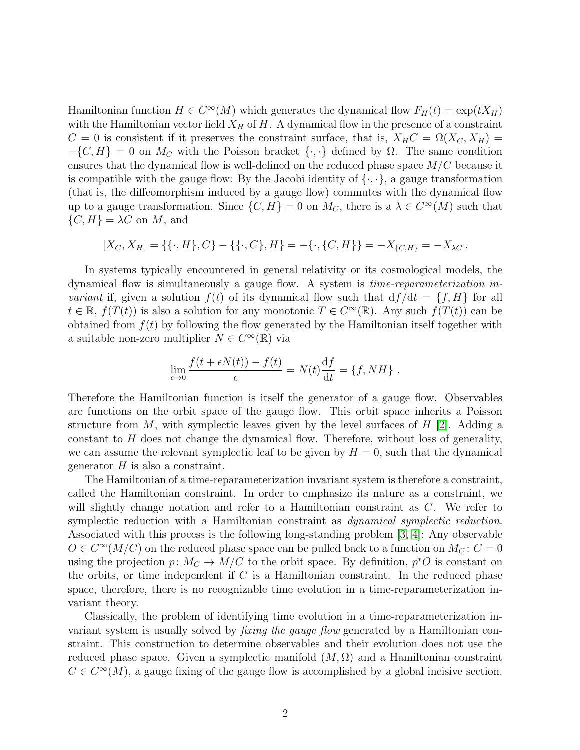Hamiltonian function  $H \in C^{\infty}(M)$  which generates the dynamical flow  $F_H(t) = \exp(tX_H)$ with the Hamiltonian vector field  $X_H$  of H. A dynamical flow in the presence of a constraint  $C = 0$  is consistent if it preserves the constraint surface, that is,  $X_H C = \Omega(X_C, X_H)$  $-\{C, H\} = 0$  on  $M_C$  with the Poisson bracket  $\{\cdot, \cdot\}$  defined by  $\Omega$ . The same condition ensures that the dynamical flow is well-defined on the reduced phase space  $M/C$  because it is compatible with the gauge flow: By the Jacobi identity of  $\{\cdot,\cdot\}$ , a gauge transformation (that is, the diffeomorphism induced by a gauge flow) commutes with the dynamical flow up to a gauge transformation. Since  $\{C, H\} = 0$  on  $M_C$ , there is a  $\lambda \in C^{\infty}(M)$  such that  $\{C, H\} = \lambda C$  on M, and

$$
[X_C, X_H] = \{ \{\cdot, H\}, C\} - \{ \{\cdot, C\}, H\} = -\{\cdot, \{C, H\}\} = -X_{\{C, H\}} = -X_{\lambda C}.
$$

In systems typically encountered in general relativity or its cosmological models, the dynamical flow is simultaneously a gauge flow. A system is time-reparameterization invariant if, given a solution  $f(t)$  of its dynamical flow such that  $df/dt = \{f, H\}$  for all  $t \in \mathbb{R}$ ,  $f(T(t))$  is also a solution for any monotonic  $T \in C^{\infty}(\mathbb{R})$ . Any such  $f(T(t))$  can be obtained from  $f(t)$  by following the flow generated by the Hamiltonian itself together with a suitable non-zero multiplier  $N \in C^{\infty}(\mathbb{R})$  via

$$
\lim_{\epsilon \to 0} \frac{f(t + \epsilon N(t)) - f(t)}{\epsilon} = N(t) \frac{\mathrm{d}f}{\mathrm{d}t} = \{f, NH\}.
$$

Therefore the Hamiltonian function is itself the generator of a gauge flow. Observables are functions on the orbit space of the gauge flow. This orbit space inherits a Poisson structure from M, with symplectic leaves given by the level surfaces of  $H$  [\[2\]](#page-39-1). Adding a constant to  $H$  does not change the dynamical flow. Therefore, without loss of generality, we can assume the relevant symplectic leaf to be given by  $H = 0$ , such that the dynamical generator  $H$  is also a constraint.

The Hamiltonian of a time-reparameterization invariant system is therefore a constraint, called the Hamiltonian constraint. In order to emphasize its nature as a constraint, we will slightly change notation and refer to a Hamiltonian constraint as C. We refer to symplectic reduction with a Hamiltonian constraint as *dynamical symplectic reduction*. Associated with this process is the following long-standing problem [\[3,](#page-39-2) [4\]](#page-39-3): Any observable  $O \in C^{\infty}(M/C)$  on the reduced phase space can be pulled back to a function on  $M_C$ :  $C = 0$ using the projection  $p: M_C \to M/C$  to the orbit space. By definition,  $p^*O$  is constant on the orbits, or time independent if  $C$  is a Hamiltonian constraint. In the reduced phase space, therefore, there is no recognizable time evolution in a time-reparameterization invariant theory.

<span id="page-1-0"></span>Classically, the problem of identifying time evolution in a time-reparameterization invariant system is usually solved by *fixing the gauge flow* generated by a Hamiltonian constraint. This construction to determine observables and their evolution does not use the reduced phase space. Given a symplectic manifold  $(M, \Omega)$  and a Hamiltonian constraint  $C \in C^{\infty}(M)$ , a gauge fixing of the gauge flow is accomplished by a global incisive section.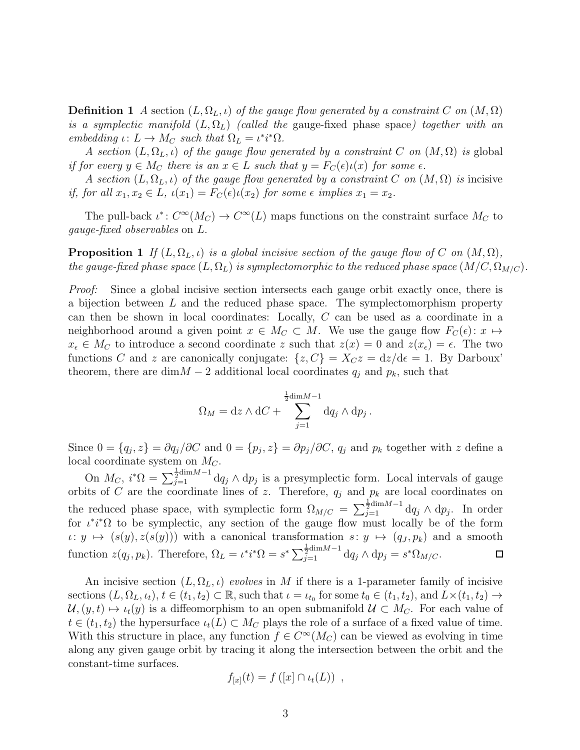**Definition 1** A section  $(L, \Omega_L, \iota)$  of the gauge flow generated by a constraint C on  $(M, \Omega)$ is a symplectic manifold  $(L, \Omega_L)$  (called the gauge-fixed phase space) together with an embedding  $\iota: L \to M_C$  such that  $\Omega_L = \iota^* i^* \Omega$ .

A section  $(L, \Omega_L, \iota)$  of the gauge flow generated by a constraint C on  $(M, \Omega)$  is global if for every  $y \in M_C$  there is an  $x \in L$  such that  $y = F_C(\epsilon)\iota(x)$  for some  $\epsilon$ .

A section  $(L, \Omega_L, \iota)$  of the gauge flow generated by a constraint C on  $(M, \Omega)$  is incisive if, for all  $x_1, x_2 \in L$ ,  $\iota(x_1) = F_C(\epsilon) \iota(x_2)$  for some  $\epsilon$  implies  $x_1 = x_2$ .

<span id="page-2-0"></span>The pull-back  $\iota^*: C^{\infty}(M_C) \to C^{\infty}(L)$  maps functions on the constraint surface  $M_C$  to gauge-fixed observables on L.

**Proposition 1** If  $(L, \Omega_L, \iota)$  is a global incisive section of the gauge flow of C on  $(M, \Omega)$ , the gauge-fixed phase space  $(L, \Omega_L)$  is symplectomorphic to the reduced phase space  $(M/C, \Omega_{M/C})$ .

Proof: Since a global incisive section intersects each gauge orbit exactly once, there is a bijection between L and the reduced phase space. The symplectomorphism property can then be shown in local coordinates: Locally, C can be used as a coordinate in a neighborhood around a given point  $x \in M_C \subset M$ . We use the gauge flow  $F_C(\epsilon)$ :  $x \mapsto$  $x_{\epsilon} \in M_C$  to introduce a second coordinate z such that  $z(x) = 0$  and  $z(x_{\epsilon}) = \epsilon$ . The two functions C and z are canonically conjugate:  $\{z, C\} = X_C z = \frac{dz}{d\epsilon} = 1$ . By Darboux' theorem, there are dim $M-2$  additional local coordinates  $q_j$  and  $p_k$ , such that

$$
\Omega_M = dz \wedge dC + \sum_{j=1}^{\frac{1}{2} \dim M - 1} dq_j \wedge dp_j.
$$

Since  $0 = \{q_j, z\} = \partial q_j / \partial C$  and  $0 = \{p_j, z\} = \partial p_j / \partial C$ ,  $q_j$  and  $p_k$  together with z define a local coordinate system on  $M_C$ .

On  $M_C$ ,  $i^*\Omega = \sum_{j=1}^{\frac{1}{2} \text{dim} M - 1} dq_j \wedge dp_j$  is a presymplectic form. Local intervals of gauge orbits of C are the coordinate lines of z. Therefore,  $q_j$  and  $p_k$  are local coordinates on the reduced phase space, with symplectic form  $\Omega_{M/C} = \sum_{j=1}^{\frac{1}{2} \text{dim} M - 1} dq_j \wedge dp_j$ . In order for  $\iota^*i^*\Omega$  to be symplectic, any section of the gauge flow must locally be of the form  $\iota: y \mapsto (s(y), z(s(y)))$  with a canonical transformation  $s: y \mapsto (q_J, p_k)$  and a smooth function  $z(q_j, p_k)$ . Therefore,  $\Omega_L = \iota^* i^* \Omega = s^* \sum_{j=1}^{\frac{1}{2} \dim M - 1} dq_j \wedge dp_j = s^* \Omega_{M/C}$ .  $\Box$ 

An incisive section  $(L, \Omega_L, \iota)$  evolves in M if there is a 1-parameter family of incisive sections  $(L, \Omega_L, \iota_t), t \in (t_1, t_2) \subset \mathbb{R}$ , such that  $\iota = \iota_{t_0}$  for some  $t_0 \in (t_1, t_2)$ , and  $L \times (t_1, t_2) \to$  $U,(y,t) \mapsto \iota_t(y)$  is a diffeomorphism to an open submanifold  $U \subset M_C$ . For each value of  $t \in (t_1, t_2)$  the hypersurface  $\iota_t(L) \subset M_C$  plays the role of a surface of a fixed value of time. With this structure in place, any function  $f \in C^{\infty}(M_C)$  can be viewed as evolving in time along any given gauge orbit by tracing it along the intersection between the orbit and the constant-time surfaces.

$$
f_{[x]}(t) = f([x] \cap \iota_t(L)),
$$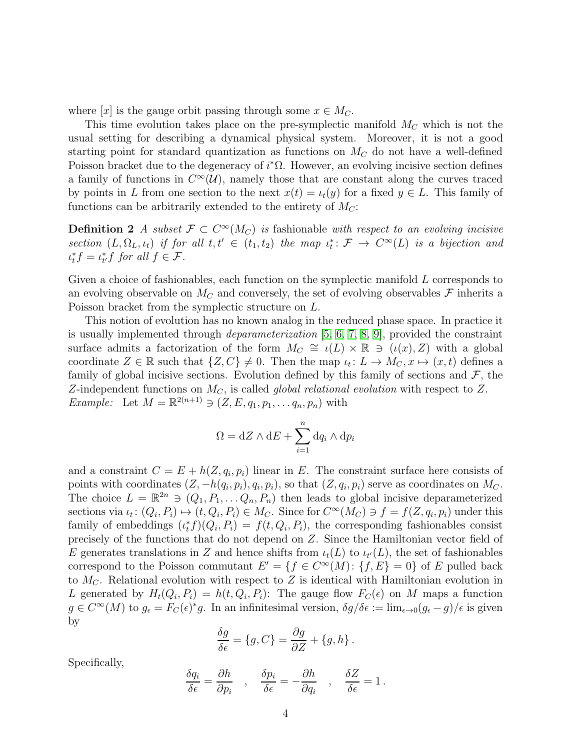where  $[x]$  is the gauge orbit passing through some  $x \in M_C$ .

This time evolution takes place on the pre-symplectic manifold  $M_C$  which is not the usual setting for describing a dynamical physical system. Moreover, it is not a good starting point for standard quantization as functions on  $M_C$  do not have a well-defined Poisson bracket due to the degeneracy of  $i^*\Omega$ . However, an evolving incisive section defines a family of functions in  $C^{\infty}(\mathcal{U})$ , namely those that are constant along the curves traced by points in L from one section to the next  $x(t) = \iota_t(y)$  for a fixed  $y \in L$ . This family of functions can be arbitrarily extended to the entirety of  $M_C$ :

**Definition 2** A subset  $\mathcal{F} \subset C^{\infty}(M_C)$  is fashionable with respect to an evolving incisive section  $(L, \Omega_L, \iota_t)$  if for all  $t, t' \in (t_1, t_2)$  the map  $\iota_t^* \colon \mathcal{F} \to C^\infty(L)$  is a bijection and  $\iota_t^* f = \iota_{t'}^* f$  for all  $f \in \mathcal{F}$ .

Given a choice of fashionables, each function on the symplectic manifold L corresponds to an evolving observable on  $M<sub>C</sub>$  and conversely, the set of evolving observables  $\mathcal F$  inherits a Poisson bracket from the symplectic structure on L.

This notion of evolution has no known analog in the reduced phase space. In practice it is usually implemented through *deparameterization* [\[5,](#page-39-4) [6,](#page-39-5) [7,](#page-39-6) [8,](#page-39-7) [9\]](#page-39-8), provided the constraint surface admits a factorization of the form  $M_C \cong \iota(L) \times \mathbb{R} \ni (\iota(x), Z)$  with a global coordinate  $Z \in \mathbb{R}$  such that  $\{Z, C\} \neq 0$ . Then the map  $\iota_t \colon L \to M_C, x \mapsto (x, t)$  defines a family of global incisive sections. Evolution defined by this family of sections and  $\mathcal{F}$ , the Z-independent functions on  $M_C$ , is called *global relational evolution* with respect to Z. *Example:* Let  $M = \mathbb{R}^{2(n+1)} \ni (Z, E, q_1, p_1, \dots, q_n, p_n)$  with

<span id="page-3-0"></span>
$$
\Omega = dZ \wedge dE + \sum_{i=1}^{n} dq_i \wedge dp_i
$$

and a constraint  $C = E + h(Z, q_i, p_i)$  linear in E. The constraint surface here consists of points with coordinates  $(Z, -h(q_i, p_i), q_i, p_i)$ , so that  $(Z, q_i, p_i)$  serve as coordinates on  $M_C$ . The choice  $L = \mathbb{R}^{2n} \ni (Q_1, P_1, \ldots, Q_n, P_n)$  then leads to global incisive deparameterized sections via  $\iota_t \colon (Q_i, P_i) \mapsto (t, Q_i, P_i) \in M_C$ . Since for  $C^{\infty}(M_C) \ni f = f(Z, q_i, p_i)$  under this family of embeddings  $(\iota_t^* f)(Q_i, P_i) = f(t, Q_i, P_i)$ , the corresponding fashionables consist precisely of the functions that do not depend on Z. Since the Hamiltonian vector field of E generates translations in Z and hence shifts from  $\iota_t(L)$  to  $\iota_{t'}(L)$ , the set of fashionables correspond to the Poisson commutant  $E' = \{f \in C^{\infty}(M) : \{f, E\} = 0\}$  of E pulled back to  $M_C$ . Relational evolution with respect to Z is identical with Hamiltonian evolution in L generated by  $H_t(Q_i, P_i) = h(t, Q_i, P_i)$ : The gauge flow  $F_C(\epsilon)$  on M maps a function  $g \in C^{\infty}(M)$  to  $g_{\epsilon} = F_C(\epsilon)^* g$ . In an infinitesimal version,  $\delta g/\delta \epsilon := \lim_{\epsilon \to 0} (g_{\epsilon} - g)/\epsilon$  is given by

$$
\frac{\delta g}{\delta \epsilon} = \{g, C\} = \frac{\partial g}{\partial Z} + \{g, h\}.
$$

Specifically,

$$
\frac{\delta q_i}{\delta \epsilon} = \frac{\partial h}{\partial p_i} \quad , \quad \frac{\delta p_i}{\delta \epsilon} = -\frac{\partial h}{\partial q_i} \quad , \quad \frac{\delta Z}{\delta \epsilon} = 1 \, .
$$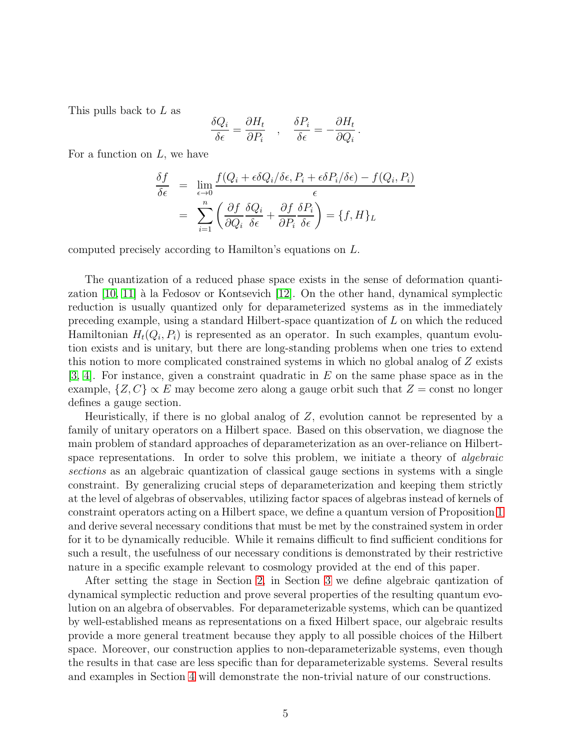This pulls back to L as

$$
\frac{\delta Q_i}{\delta \epsilon} = \frac{\partial H_t}{\partial P_i} \quad , \quad \frac{\delta P_i}{\delta \epsilon} = -\frac{\partial H_t}{\partial Q_i} \, .
$$

For a function on  $L$ , we have

$$
\frac{\delta f}{\delta \epsilon} = \lim_{\epsilon \to 0} \frac{f(Q_i + \epsilon \delta Q_i / \delta \epsilon, P_i + \epsilon \delta P_i / \delta \epsilon) - f(Q_i, P_i)}{\epsilon}
$$

$$
= \sum_{i=1}^n \left( \frac{\partial f}{\partial Q_i} \frac{\delta Q_i}{\delta \epsilon} + \frac{\partial f}{\partial P_i} \frac{\delta P_i}{\delta \epsilon} \right) = \{f, H\}_L
$$

computed precisely according to Hamilton's equations on L.

The quantization of a reduced phase space exists in the sense of deformation quantization  $[10, 11]$  $[10, 11]$  à la Fedosov or Kontsevich  $[12]$ . On the other hand, dynamical symplectic reduction is usually quantized only for deparameterized systems as in the immediately preceding example, using a standard Hilbert-space quantization of L on which the reduced Hamiltonian  $H_t(Q_i, P_i)$  is represented as an operator. In such examples, quantum evolution exists and is unitary, but there are long-standing problems when one tries to extend this notion to more complicated constrained systems in which no global analog of Z exists [\[3,](#page-39-2) [4\]](#page-39-3). For instance, given a constraint quadratic in E on the same phase space as in the example,  $\{Z, C\} \propto E$  may become zero along a gauge orbit such that  $Z = \text{const}$  no longer defines a gauge section.

Heuristically, if there is no global analog of Z, evolution cannot be represented by a family of unitary operators on a Hilbert space. Based on this observation, we diagnose the main problem of standard approaches of deparameterization as an over-reliance on Hilbertspace representations. In order to solve this problem, we initiate a theory of *algebraic* sections as an algebraic quantization of classical gauge sections in systems with a single constraint. By generalizing crucial steps of deparameterization and keeping them strictly at the level of algebras of observables, utilizing factor spaces of algebras instead of kernels of constraint operators acting on a Hilbert space, we define a quantum version of Proposition [1](#page-2-0) and derive several necessary conditions that must be met by the constrained system in order for it to be dynamically reducible. While it remains difficult to find sufficient conditions for such a result, the usefulness of our necessary conditions is demonstrated by their restrictive nature in a specific example relevant to cosmology provided at the end of this paper.

After setting the stage in Section [2,](#page-5-0) in Section [3](#page-17-0) we define algebraic qantization of dynamical symplectic reduction and prove several properties of the resulting quantum evolution on an algebra of observables. For deparameterizable systems, which can be quantized by well-established means as representations on a fixed Hilbert space, our algebraic results provide a more general treatment because they apply to all possible choices of the Hilbert space. Moreover, our construction applies to non-deparameterizable systems, even though the results in that case are less specific than for deparameterizable systems. Several results and examples in Section [4](#page-29-0) will demonstrate the non-trivial nature of our constructions.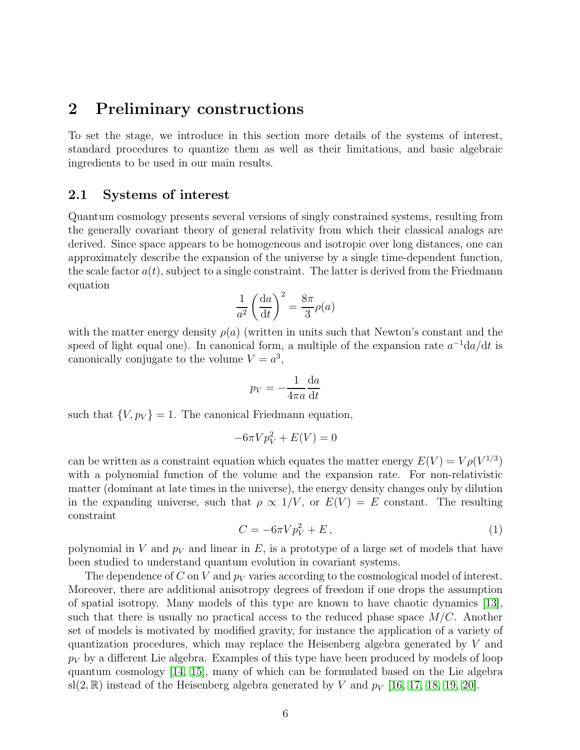## <span id="page-5-0"></span>2 Preliminary constructions

To set the stage, we introduce in this section more details of the systems of interest, standard procedures to quantize them as well as their limitations, and basic algebraic ingredients to be used in our main results.

### <span id="page-5-2"></span>2.1 Systems of interest

Quantum cosmology presents several versions of singly constrained systems, resulting from the generally covariant theory of general relativity from which their classical analogs are derived. Since space appears to be homogeneous and isotropic over long distances, one can approximately describe the expansion of the universe by a single time-dependent function, the scale factor  $a(t)$ , subject to a single constraint. The latter is derived from the Friedmann equation

$$
\frac{1}{a^2} \left(\frac{\mathrm{d}a}{\mathrm{d}t}\right)^2 = \frac{8\pi}{3}\rho(a)
$$

with the matter energy density  $\rho(a)$  (written in units such that Newton's constant and the speed of light equal one). In canonical form, a multiple of the expansion rate  $a^{-1}da/dt$  is canonically conjugate to the volume  $V = a^3$ ,

$$
p_V = -\frac{1}{4\pi a} \frac{\mathrm{d}a}{\mathrm{d}t}
$$

such that  $\{V, p_V\} = 1$ . The canonical Friedmann equation,

$$
-6\pi V p_V^2 + E(V) = 0
$$

can be written as a constraint equation which equates the matter energy  $E(V) = V \rho(V^{1/3})$ with a polynomial function of the volume and the expansion rate. For non-relativistic matter (dominant at late times in the universe), the energy density changes only by dilution in the expanding universe, such that  $\rho \propto 1/V$ , or  $E(V) = E$  constant. The resulting constraint

<span id="page-5-1"></span>
$$
C = -6\pi V p_V^2 + E\,,\tag{1}
$$

polynomial in V and  $p_V$  and linear in E, is a prototype of a large set of models that have been studied to understand quantum evolution in covariant systems.

The dependence of C on V and  $p_V$  varies according to the cosmological model of interest. Moreover, there are additional anisotropy degrees of freedom if one drops the assumption of spatial isotropy. Many models of this type are known to have chaotic dynamics [\[13\]](#page-39-12), such that there is usually no practical access to the reduced phase space  $M/C$ . Another set of models is motivated by modified gravity, for instance the application of a variety of quantization procedures, which may replace the Heisenberg algebra generated by V and  $p_V$  by a different Lie algebra. Examples of this type have been produced by models of loop quantum cosmology [\[14,](#page-39-13) [15\]](#page-39-14), many of which can be formulated based on the Lie algebra sl(2, R) instead of the Heisenberg algebra generated by V and  $p_V$  [\[16,](#page-40-0) [17,](#page-40-1) [18,](#page-40-2) [19,](#page-40-3) [20\]](#page-40-4).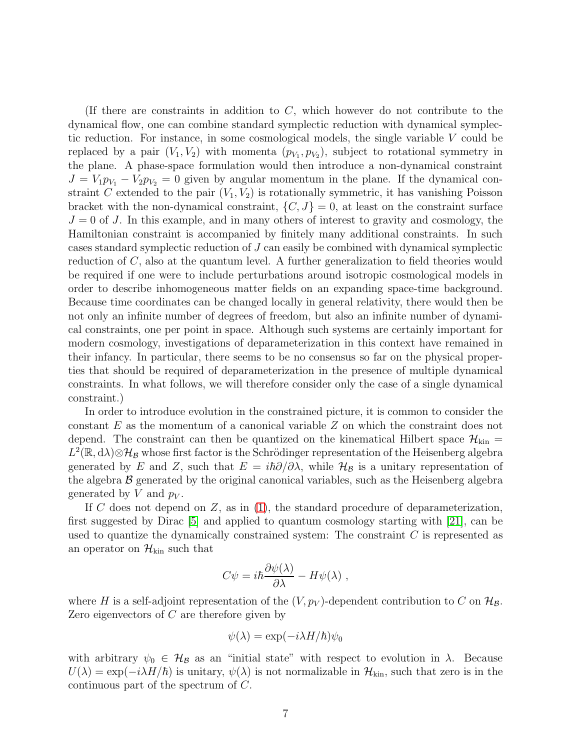(If there are constraints in addition to  $C$ , which however do not contribute to the dynamical flow, one can combine standard symplectic reduction with dynamical symplectic reduction. For instance, in some cosmological models, the single variable  $V$  could be replaced by a pair  $(V_1, V_2)$  with momenta  $(p_{V_1}, p_{V_2})$ , subject to rotational symmetry in the plane. A phase-space formulation would then introduce a non-dynamical constraint  $J = V_1 p_{V_1} - V_2 p_{V_2} = 0$  given by angular momentum in the plane. If the dynamical constraint C extended to the pair  $(V_1, V_2)$  is rotationally symmetric, it has vanishing Poisson bracket with the non-dynamical constraint,  $\{C, J\} = 0$ , at least on the constraint surface  $J = 0$  of J. In this example, and in many others of interest to gravity and cosmology, the Hamiltonian constraint is accompanied by finitely many additional constraints. In such cases standard symplectic reduction of J can easily be combined with dynamical symplectic reduction of C, also at the quantum level. A further generalization to field theories would be required if one were to include perturbations around isotropic cosmological models in order to describe inhomogeneous matter fields on an expanding space-time background. Because time coordinates can be changed locally in general relativity, there would then be not only an infinite number of degrees of freedom, but also an infinite number of dynamical constraints, one per point in space. Although such systems are certainly important for modern cosmology, investigations of deparameterization in this context have remained in their infancy. In particular, there seems to be no consensus so far on the physical properties that should be required of deparameterization in the presence of multiple dynamical constraints. In what follows, we will therefore consider only the case of a single dynamical constraint.)

In order to introduce evolution in the constrained picture, it is common to consider the constant E as the momentum of a canonical variable Z on which the constraint does not depend. The constraint can then be quantized on the kinematical Hilbert space  $\mathcal{H}_{kin}$  =  $L^2(\mathbb{R}, d\lambda) \otimes \mathcal{H}_\mathcal{B}$  whose first factor is the Schrödinger representation of the Heisenberg algebra generated by E and Z, such that  $E = i\hbar \partial/\partial \lambda$ , while  $\mathcal{H}_{\mathcal{B}}$  is a unitary representation of the algebra  $\beta$  generated by the original canonical variables, such as the Heisenberg algebra generated by V and  $p_V$ .

If C does not depend on  $Z$ , as in [\(1\)](#page-5-1), the standard procedure of deparameterization, first suggested by Dirac [\[5\]](#page-39-4) and applied to quantum cosmology starting with [\[21\]](#page-40-5), can be used to quantize the dynamically constrained system: The constraint  $C$  is represented as an operator on  $\mathcal{H}_{kin}$  such that

$$
C\psi = i\hbar \frac{\partial \psi(\lambda)}{\partial \lambda} - H\psi(\lambda) ,
$$

where H is a self-adjoint representation of the  $(V, p_V)$ -dependent contribution to C on  $\mathcal{H}_{\mathcal{B}}$ . Zero eigenvectors of C are therefore given by

$$
\psi(\lambda) = \exp(-i\lambda H/\hbar)\psi_0
$$

with arbitrary  $\psi_0 \in \mathcal{H}_{\mathcal{B}}$  as an "initial state" with respect to evolution in  $\lambda$ . Because  $U(\lambda) = \exp(-i\lambda H/\hbar)$  is unitary,  $\psi(\lambda)$  is not normalizable in  $\mathcal{H}_{kin}$ , such that zero is in the continuous part of the spectrum of C.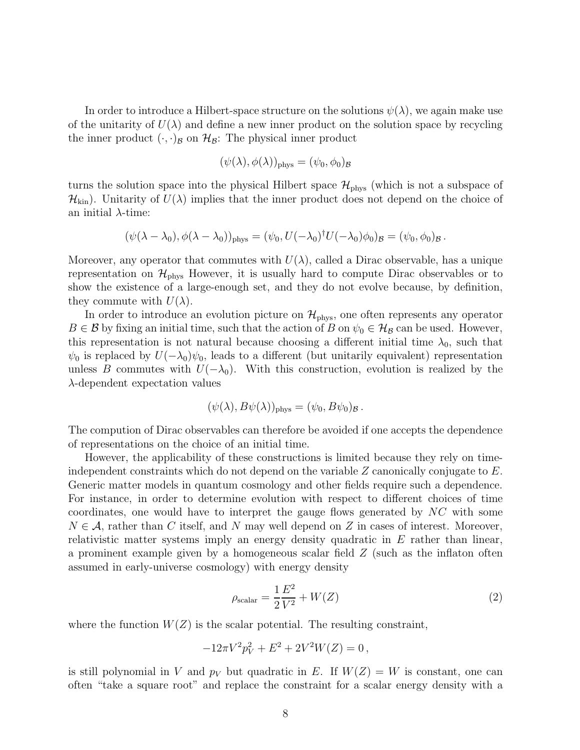In order to introduce a Hilbert-space structure on the solutions  $\psi(\lambda)$ , we again make use of the unitarity of  $U(\lambda)$  and define a new inner product on the solution space by recycling the inner product  $(\cdot, \cdot)_{\mathcal{B}}$  on  $\mathcal{H}_{\mathcal{B}}$ : The physical inner product

$$
(\psi(\lambda),\phi(\lambda))_{\rm phys}=(\psi_0,\phi_0)_{\cal B}
$$

turns the solution space into the physical Hilbert space  $\mathcal{H}_{\text{phys}}$  (which is not a subspace of  $\mathcal{H}_{\text{kin}}$ ). Unitarity of  $U(\lambda)$  implies that the inner product does not depend on the choice of an initial  $\lambda$ -time:

$$
(\psi(\lambda-\lambda_0),\phi(\lambda-\lambda_0))_{\text{phys}}=(\psi_0,U(-\lambda_0)^{\dagger}U(-\lambda_0)\phi_0)_{\mathcal{B}}=(\psi_0,\phi_0)_{\mathcal{B}}.
$$

Moreover, any operator that commutes with  $U(\lambda)$ , called a Dirac observable, has a unique representation on  $\mathcal{H}_{\text{phys}}$  However, it is usually hard to compute Dirac observables or to show the existence of a large-enough set, and they do not evolve because, by definition, they commute with  $U(\lambda)$ .

In order to introduce an evolution picture on  $\mathcal{H}_{\text{phys}}$ , one often represents any operator  $B \in \mathcal{B}$  by fixing an initial time, such that the action of B on  $\psi_0 \in \mathcal{H}_{\mathcal{B}}$  can be used. However, this representation is not natural because choosing a different initial time  $\lambda_0$ , such that  $\psi_0$  is replaced by  $U(-\lambda_0)\psi_0$ , leads to a different (but unitarily equivalent) representation unless B commutes with  $U(-\lambda_0)$ . With this construction, evolution is realized by the  $\lambda$ -dependent expectation values

$$
(\psi(\lambda), B\psi(\lambda))_{\text{phys}} = (\psi_0, B\psi_0)_{\mathcal{B}}.
$$

The compution of Dirac observables can therefore be avoided if one accepts the dependence of representations on the choice of an initial time.

However, the applicability of these constructions is limited because they rely on timeindependent constraints which do not depend on the variable  $Z$  canonically conjugate to  $E$ . Generic matter models in quantum cosmology and other fields require such a dependence. For instance, in order to determine evolution with respect to different choices of time coordinates, one would have to interpret the gauge flows generated by NC with some  $N \in \mathcal{A}$ , rather than C itself, and N may well depend on Z in cases of interest. Moreover, relativistic matter systems imply an energy density quadratic in  $E$  rather than linear, a prominent example given by a homogeneous scalar field Z (such as the inflaton often assumed in early-universe cosmology) with energy density

<span id="page-7-0"></span>
$$
\rho_{\text{scalar}} = \frac{1}{2} \frac{E^2}{V^2} + W(Z) \tag{2}
$$

where the function  $W(Z)$  is the scalar potential. The resulting constraint,

$$
-12\pi V^2 p_V^2 + E^2 + 2V^2 W(Z) = 0,
$$

is still polynomial in V and  $p_V$  but quadratic in E. If  $W(Z) = W$  is constant, one can often "take a square root" and replace the constraint for a scalar energy density with a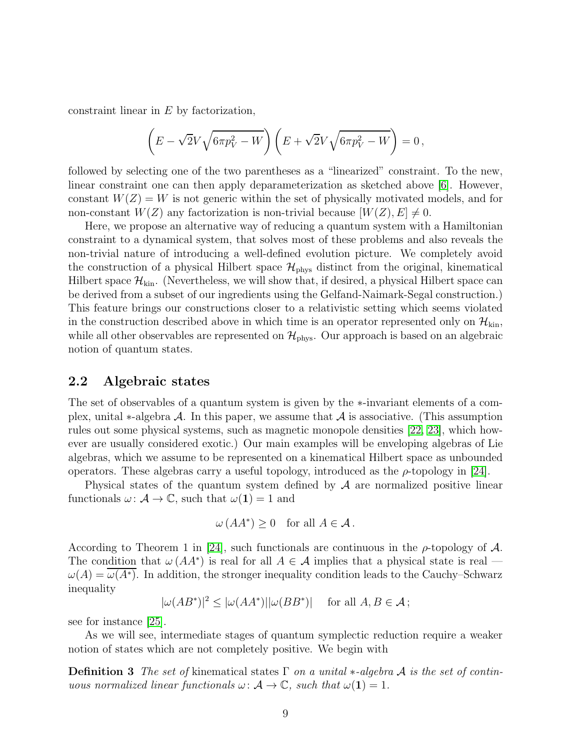constraint linear in E by factorization,

$$
\left(E - \sqrt{2}V\sqrt{6\pi p_V^2 - W}\right)\left(E + \sqrt{2}V\sqrt{6\pi p_V^2 - W}\right) = 0,
$$

followed by selecting one of the two parentheses as a "linearized" constraint. To the new, linear constraint one can then apply deparameterization as sketched above [\[6\]](#page-39-5). However, constant  $W(Z) = W$  is not generic within the set of physically motivated models, and for non-constant  $W(Z)$  any factorization is non-trivial because  $[W(Z), E] \neq 0$ .

Here, we propose an alternative way of reducing a quantum system with a Hamiltonian constraint to a dynamical system, that solves most of these problems and also reveals the non-trivial nature of introducing a well-defined evolution picture. We completely avoid the construction of a physical Hilbert space  $\mathcal{H}_{\text{phys}}$  distinct from the original, kinematical Hilbert space  $\mathcal{H}_{kin}$ . (Nevertheless, we will show that, if desired, a physical Hilbert space can be derived from a subset of our ingredients using the Gelfand-Naimark-Segal construction.) This feature brings our constructions closer to a relativistic setting which seems violated in the construction described above in which time is an operator represented only on  $\mathcal{H}_{kin}$ , while all other observables are represented on  $\mathcal{H}_{\text{phys}}$ . Our approach is based on an algebraic notion of quantum states.

#### 2.2 Algebraic states

The set of observables of a quantum system is given by the ∗-invariant elements of a complex, unital  $\ast$ -algebra  $\mathcal A$ . In this paper, we assume that  $\mathcal A$  is associative. (This assumption rules out some physical systems, such as magnetic monopole densities [\[22,](#page-40-6) [23\]](#page-40-7), which however are usually considered exotic.) Our main examples will be enveloping algebras of Lie algebras, which we assume to be represented on a kinematical Hilbert space as unbounded operators. These algebras carry a useful topology, introduced as the  $\rho$ -topology in [\[24\]](#page-40-8).

Physical states of the quantum system defined by  $A$  are normalized positive linear functionals  $\omega: \mathcal{A} \to \mathbb{C}$ , such that  $\omega(1) = 1$  and

<span id="page-8-0"></span>
$$
\omega(AA^*) \ge 0 \quad \text{for all } A \in \mathcal{A} \, .
$$

According to Theorem 1 in [\[24\]](#page-40-8), such functionals are continuous in the  $\rho$ -topology of  $\mathcal{A}$ . The condition that  $\omega(AA^*)$  is real for all  $A \in \mathcal{A}$  implies that a physical state is real —  $\omega(A) = \omega(A^*)$ . In addition, the stronger inequality condition leads to the Cauchy–Schwarz inequality

$$
|\omega(AB^*)|^2 \le |\omega(AA^*)||\omega(BB^*)| \quad \text{ for all } A, B \in \mathcal{A} ;
$$

see for instance [\[25\]](#page-40-9).

As we will see, intermediate stages of quantum symplectic reduction require a weaker notion of states which are not completely positive. We begin with

**Definition 3** The set of kinematical states  $\Gamma$  on a unital \*-algebra A is the set of continuous normalized linear functionals  $\omega \colon \mathcal{A} \to \mathbb{C}$ , such that  $\omega(1) = 1$ .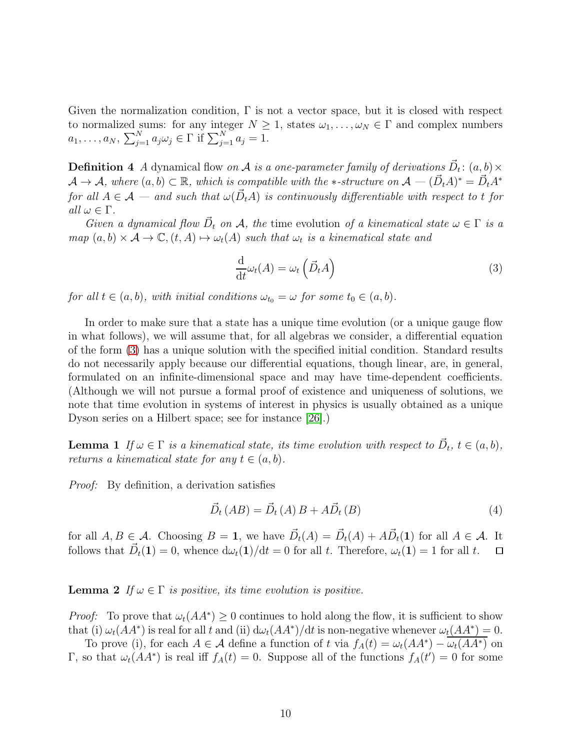Given the normalization condition,  $\Gamma$  is not a vector space, but it is closed with respect to normalized sums: for any integer  $N \geq 1$ , states  $\omega_1, \ldots, \omega_N \in \Gamma$  and complex numbers  $a_1, \ldots, a_N, \sum_{j=1}^N a_j \omega_j \in \Gamma \text{ if } \sum_{j=1}^N a_j = 1.$ 

<span id="page-9-3"></span>**Definition 4** A dynamical flow on A is a one-parameter family of derivations  $\vec{D}_t$ :  $(a, b) \times$  $\mathcal{A} \to \mathcal{A}$ , where  $(a, b) \subset \mathbb{R}$ , which is compatible with the \*-structure on  $\mathcal{A} \to (\vec{D}_t A)^* = \vec{D}_t A^*$ for all  $A \in \mathcal{A}$  — and such that  $\omega(\vec{D}_t A)$  is continuously differentiable with respect to t for all  $\omega \in \Gamma$ .

Given a dynamical flow  $\vec{D}_t$  on A, the time evolution of a kinematical state  $\omega \in \Gamma$  is a  $map (a, b) \times A \rightarrow \mathbb{C}, (t, A) \mapsto \omega_t(A)$  such that  $\omega_t$  is a kinematical state and

<span id="page-9-0"></span>
$$
\frac{\mathrm{d}}{\mathrm{d}t}\omega_t(A) = \omega_t\left(\vec{D}_t A\right) \tag{3}
$$

for all  $t \in (a, b)$ , with initial conditions  $\omega_{t_0} = \omega$  for some  $t_0 \in (a, b)$ .

In order to make sure that a state has a unique time evolution (or a unique gauge flow in what follows), we will assume that, for all algebras we consider, a differential equation of the form [\(3\)](#page-9-0) has a unique solution with the specified initial condition. Standard results do not necessarily apply because our differential equations, though linear, are, in general, formulated on an infinite-dimensional space and may have time-dependent coefficients. (Although we will not pursue a formal proof of existence and uniqueness of solutions, we note that time evolution in systems of interest in physics is usually obtained as a unique Dyson series on a Hilbert space; see for instance [\[26\]](#page-40-10).)

<span id="page-9-1"></span>**Lemma 1** If  $\omega \in \Gamma$  is a kinematical state, its time evolution with respect to  $\vec{D}_t$ ,  $t \in (a, b)$ , returns a kinematical state for any  $t \in (a, b)$ .

Proof: By definition, a derivation satisfies

$$
\vec{D}_t (AB) = \vec{D}_t (A) B + A \vec{D}_t (B)
$$
\n<sup>(4)</sup>

for all  $A, B \in \mathcal{A}$ . Choosing  $B = 1$ , we have  $\vec{D}_t(A) = \vec{D}_t(A) + A\vec{D}_t(1)$  for all  $A \in \mathcal{A}$ . It follows that  $\vec{D}_t(1) = 0$ , whence  $d\omega_t(1)/dt = 0$  for all t. Therefore,  $\omega_t(1) = 1$  for all t.  $\Box$ 

<span id="page-9-2"></span>**Lemma 2** If  $\omega \in \Gamma$  is positive, its time evolution is positive.

*Proof:* To prove that  $\omega_t(AA^*) \geq 0$  continues to hold along the flow, it is sufficient to show that (i)  $\omega_t(AA^*)$  is real for all t and (ii)  $d\omega_t(AA^*)/dt$  is non-negative whenever  $\omega_t(AA^*)=0$ .

To prove (i), for each  $A \in \mathcal{A}$  define a function of t via  $f_A(t) = \omega_t(AA^*) - \overline{\omega_t(AA^*)}$  on Γ, so that  $ω_t(AA^*)$  is real iff  $f_A(t) = 0$ . Suppose all of the functions  $f_A(t') = 0$  for some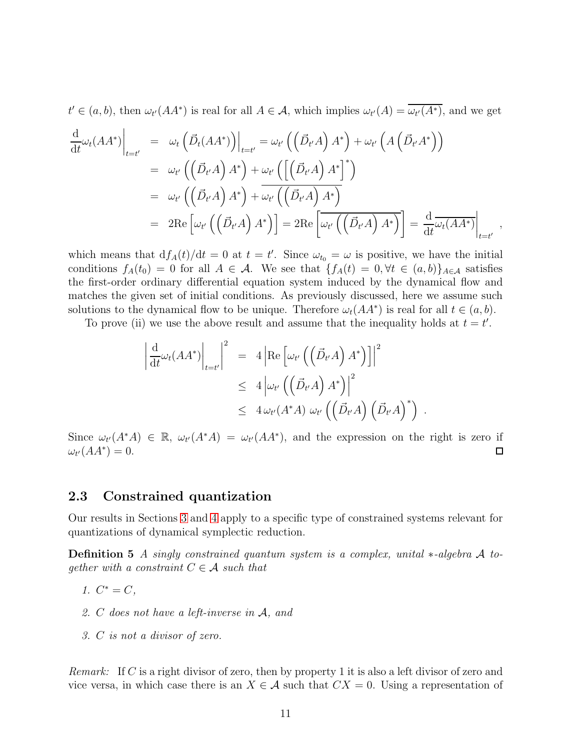$t' \in (a, b)$ , then  $\omega_{t'}(AA^*)$  is real for all  $A \in \mathcal{A}$ , which implies  $\omega_{t'}(A) = \overline{\omega_{t'}(A^*)}$ , and we get

$$
\frac{d}{dt}\omega_t(AA^*)\Big|_{t=t'} = \omega_t \left( \vec{D}_t(AA^*) \right) \Big|_{t=t'} = \omega_{t'} \left( \left( \vec{D}_{t'}A \right) A^* \right) + \omega_{t'} \left( A \left( \vec{D}_{t'}A^* \right) \right)
$$
\n
$$
= \omega_{t'} \left( \left( \vec{D}_{t'}A \right) A^* \right) + \omega_{t'} \left( \left[ \left( \vec{D}_{t'}A \right) A^* \right]^* \right)
$$
\n
$$
= \omega_{t'} \left( \left( \vec{D}_{t'}A \right) A^* \right) + \omega_{t'} \left( \left( \vec{D}_{t'}A \right) A^* \right)
$$
\n
$$
= 2 \text{Re} \left[ \omega_{t'} \left( \left( \vec{D}_{t'}A \right) A^* \right) \right] = 2 \text{Re} \left[ \omega_{t'} \left( \left( \vec{D}_{t'}A \right) A^* \right) \right] = \frac{d}{dt} \overline{\omega_t(AA^*)} \Big|_{t=t'} ,
$$

which means that  $df_A(t)/dt = 0$  at  $t = t'$ . Since  $\omega_{t_0} = \omega$  is positive, we have the initial conditions  $f_A(t_0) = 0$  for all  $A \in \mathcal{A}$ . We see that  $\{f_A(t) = 0, \forall t \in (a, b)\}_{A \in \mathcal{A}}$  satisfies the first-order ordinary differential equation system induced by the dynamical flow and matches the given set of initial conditions. As previously discussed, here we assume such solutions to the dynamical flow to be unique. Therefore  $\omega_t(AA^*)$  is real for all  $t \in (a, b)$ .

To prove (ii) we use the above result and assume that the inequality holds at  $t = t'$ .

$$
\left| \frac{d}{dt} \omega_t (AA^*) \right|_{t=t'} \bigg|^2 = 4 \left| \text{Re} \left[ \omega_{t'} \left( \left( \vec{D}_{t'} A \right) A^* \right) \right] \right|^2
$$
  

$$
\leq 4 \left| \omega_{t'} \left( \left( \vec{D}_{t'} A \right) A^* \right) \right|^2
$$
  

$$
\leq 4 \omega_{t'} (A^* A) \omega_{t'} \left( \left( \vec{D}_{t'} A \right) \left( \vec{D}_{t'} A \right)^* \right) .
$$

Since  $\omega_{t'}(A^*A) \in \mathbb{R}$ ,  $\omega_{t'}(A^*A) = \omega_{t'}(AA^*)$ , and the expression on the right is zero if  $\omega_{t'}(AA^*)=0.$ □

#### <span id="page-10-0"></span>2.3 Constrained quantization

Our results in Sections [3](#page-17-0) and [4](#page-29-0) apply to a specific type of constrained systems relevant for quantizations of dynamical symplectic reduction.

Definition 5 A singly constrained quantum system is a complex, unital ∗-algebra A toqether with a constraint  $C \in \mathcal{A}$  such that

- 1.  $C^* = C$ ,
- 2. C does not have a left-inverse in A, and
- 3. C is not a divisor of zero.

Remark: If C is a right divisor of zero, then by property 1 it is also a left divisor of zero and vice versa, in which case there is an  $X \in \mathcal{A}$  such that  $CX = 0$ . Using a representation of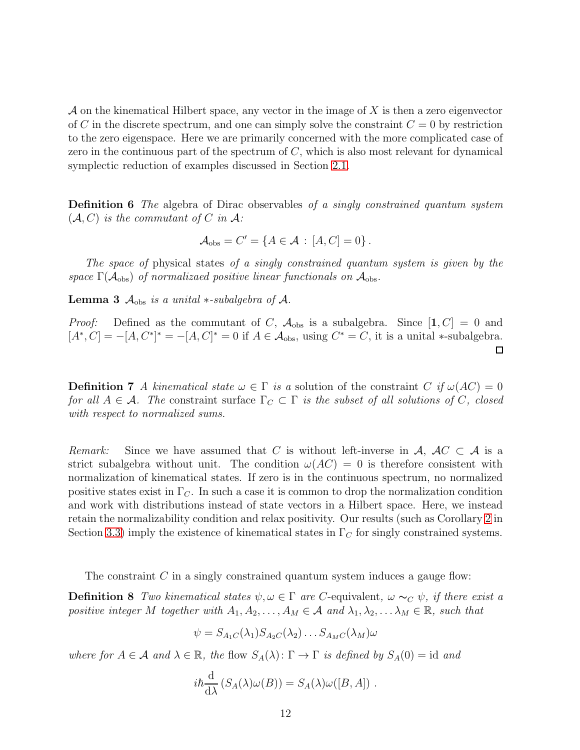$\mathcal A$  on the kinematical Hilbert space, any vector in the image of  $X$  is then a zero eigenvector of C in the discrete spectrum, and one can simply solve the constraint  $C = 0$  by restriction to the zero eigenspace. Here we are primarily concerned with the more complicated case of zero in the continuous part of the spectrum of  $C$ , which is also most relevant for dynamical symplectic reduction of examples discussed in Section [2.1.](#page-5-2)

Definition 6 The algebra of Dirac observables of a singly constrained quantum system  $(\mathcal{A}, C)$  is the commutant of C in A:

$$
\mathcal{A}_{\text{obs}} = C' = \{ A \in \mathcal{A} : [A, C] = 0 \}.
$$

The space of physical states of a singly constrained quantum system is given by the space  $\Gamma(\mathcal{A}_{obs})$  of normalizaed positive linear functionals on  $\mathcal{A}_{obs}$ .

<span id="page-11-0"></span>**Lemma 3**  $A_{obs}$  is a unital  $*$ -subalgebra of  $A$ .

*Proof:* Defined as the commutant of C,  $A_{obs}$  is a subalgebra. Since  $[1, C] = 0$  and  $[A^*, C] = -[A, C^*]^* = -[A, C]^* = 0$  if  $A \in \mathcal{A}_{obs}$ , using  $C^* = C$ , it is a unital \*-subalgebra.

**Definition 7** A kinematical state  $\omega \in \Gamma$  is a solution of the constraint C if  $\omega (AC) = 0$ for all  $A \in \mathcal{A}$ . The constraint surface  $\Gamma_C \subset \Gamma$  is the subset of all solutions of C, closed with respect to normalized sums.

Remark: Since we have assumed that C is without left-inverse in A,  $AC \subset A$  is a strict subalgebra without unit. The condition  $\omega(AC) = 0$  is therefore consistent with normalization of kinematical states. If zero is in the continuous spectrum, no normalized positive states exist in  $\Gamma_C$ . In such a case it is common to drop the normalization condition and work with distributions instead of state vectors in a Hilbert space. Here, we instead retain the normalizability condition and relax positivity. Our results (such as Corollary [2](#page-24-0) in Section [3.3\)](#page-24-1) imply the existence of kinematical states in  $\Gamma_C$  for singly constrained systems.

The constraint  $C$  in a singly constrained quantum system induces a gauge flow:

**Definition 8** Two kinematical states  $\psi, \omega \in \Gamma$  are C-equivalent,  $\omega \sim_C \psi$ , if there exist a positive integer M together with  $A_1, A_2, \ldots, A_M \in \mathcal{A}$  and  $\lambda_1, \lambda_2, \ldots, \lambda_M \in \mathbb{R}$ , such that

<span id="page-11-1"></span>
$$
\psi = S_{A_1C}(\lambda_1) S_{A_2C}(\lambda_2) \dots S_{A_MC}(\lambda_M) \omega
$$

where for  $A \in \mathcal{A}$  and  $\lambda \in \mathbb{R}$ , the flow  $S_A(\lambda) \colon \Gamma \to \Gamma$  is defined by  $S_A(0) = id$  and

$$
i\hbar \frac{\mathrm{d}}{\mathrm{d}\lambda} \left( S_A(\lambda)\omega(B) \right) = S_A(\lambda)\omega([B, A]) .
$$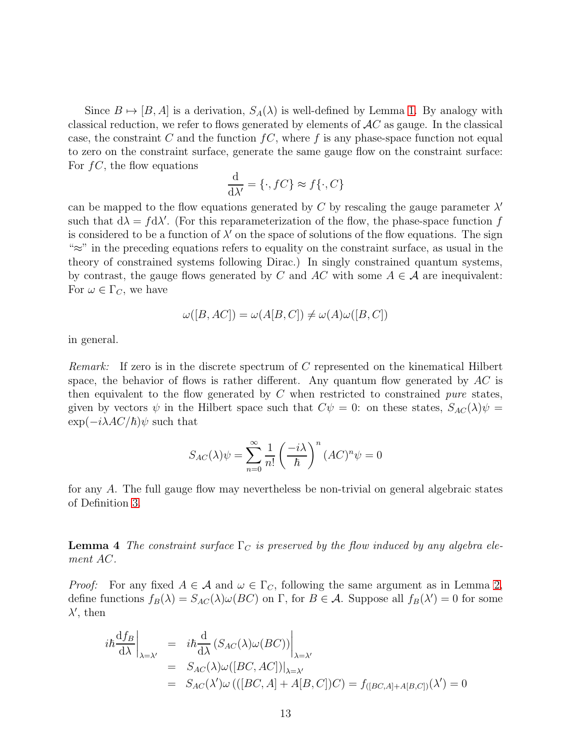Since  $B \mapsto [B, A]$  is a derivation,  $S_A(\lambda)$  is well-defined by Lemma [1.](#page-9-1) By analogy with classical reduction, we refer to flows generated by elements of  $AC$  as gauge. In the classical case, the constraint C and the function  $fC$ , where f is any phase-space function not equal to zero on the constraint surface, generate the same gauge flow on the constraint surface: For  $fC$ , the flow equations

$$
\frac{\mathrm{d}}{\mathrm{d}\lambda'} = \{\cdot, fC\} \approx f\{\cdot, C\}
$$

can be mapped to the flow equations generated by C by rescaling the gauge parameter  $\lambda'$ such that  $d\lambda = f d\lambda'$ . (For this reparameterization of the flow, the phase-space function f is considered to be a function of  $\lambda'$  on the space of solutions of the flow equations. The sign  $\approx$ " in the preceding equations refers to equality on the constraint surface, as usual in the theory of constrained systems following Dirac.) In singly constrained quantum systems, by contrast, the gauge flows generated by C and AC with some  $A \in \mathcal{A}$  are inequivalent: For  $\omega \in \Gamma_C$ , we have

$$
\omega([B, AC]) = \omega(A[B, C]) \neq \omega(A)\omega([B, C])
$$

in general.

Remark: If zero is in the discrete spectrum of C represented on the kinematical Hilbert space, the behavior of flows is rather different. Any quantum flow generated by  $AC$  is then equivalent to the flow generated by  $C$  when restricted to constrained *pure* states, given by vectors  $\psi$  in the Hilbert space such that  $C\psi = 0$ : on these states,  $S_{AC}(\lambda)\psi =$  $\exp(-i\lambda AC/\hbar)\psi$  such that

$$
S_{AC}(\lambda)\psi = \sum_{n=0}^{\infty} \frac{1}{n!} \left(\frac{-i\lambda}{\hbar}\right)^n (AC)^n \psi = 0
$$

for any A. The full gauge flow may nevertheless be non-trivial on general algebraic states of Definition [3.](#page-8-0)

<span id="page-12-0"></span>**Lemma 4** The constraint surface  $\Gamma_C$  is preserved by the flow induced by any algebra element AC.

*Proof:* For any fixed  $A \in \mathcal{A}$  and  $\omega \in \Gamma_C$ , following the same argument as in Lemma [2,](#page-9-2) define functions  $f_B(\lambda) = S_{AC}(\lambda)\omega(BC)$  on  $\Gamma$ , for  $B \in \mathcal{A}$ . Suppose all  $f_B(\lambda') = 0$  for some  $\lambda'$ , then

$$
i\hbar \frac{df_B}{d\lambda}\Big|_{\lambda=\lambda'} = i\hbar \frac{d}{d\lambda} (S_{AC}(\lambda)\omega(BC))\Big|_{\lambda=\lambda'}
$$
  
=  $S_{AC}(\lambda)\omega([BC, AC])|_{\lambda=\lambda'}$   
=  $S_{AC}(\lambda')\omega(((BC, A] + A[B, C])C) = f_{([BC, A] + A[B, C])}(\lambda') = 0$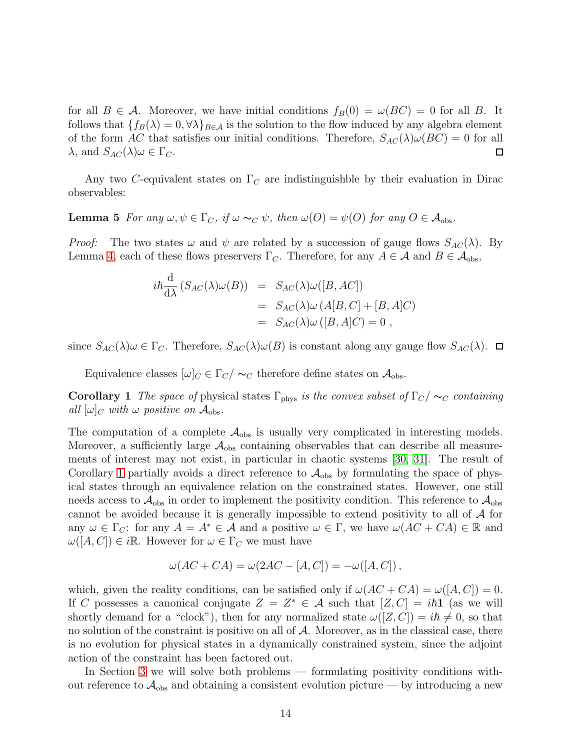for all  $B \in \mathcal{A}$ . Moreover, we have initial conditions  $f_B(0) = \omega(BC) = 0$  for all B. It follows that  $\{f_B(\lambda) = 0, \forall \lambda\}_{B \in \mathcal{A}}$  is the solution to the flow induced by any algebra element of the form AC that satisfies our initial conditions. Therefore,  $S_{AC}(\lambda)\omega(BC) = 0$  for all  $\lambda$ , and  $S_{AC}(\lambda)\omega \in \Gamma_C$ .  $\Box$ 

Any two C-equivalent states on  $\Gamma_C$  are indistinguishble by their evaluation in Dirac observables:

**Lemma 5** For any  $\omega, \psi \in \Gamma_C$ , if  $\omega \sim_C \psi$ , then  $\omega(O) = \psi(O)$  for any  $O \in \mathcal{A}_{obs}$ .

*Proof:* The two states  $\omega$  and  $\psi$  are related by a succession of gauge flows  $S_{AC}(\lambda)$ . By Lemma [4,](#page-12-0) each of these flows preservers  $\Gamma_C$ . Therefore, for any  $A \in \mathcal{A}$  and  $B \in \mathcal{A}_{obs}$ ,

<span id="page-13-0"></span>
$$
i\hbar \frac{d}{d\lambda} (S_{AC}(\lambda)\omega(B)) = S_{AC}(\lambda)\omega([B, AC])
$$
  
= 
$$
S_{AC}(\lambda)\omega(A[B, C] + [B, A]C)
$$
  
= 
$$
S_{AC}(\lambda)\omega([B, A]C) = 0,
$$

since  $S_{AC}(\lambda)\omega \in \Gamma_C$ . Therefore,  $S_{AC}(\lambda)\omega(B)$  is constant along any gauge flow  $S_{AC}(\lambda)$ .  $\Box$ 

Equivalence classes  $[\omega]_C \in \Gamma_C / \sim_C$  therefore define states on  $\mathcal{A}_{obs}$ .

**Corollary 1** The space of physical states  $\Gamma_{\text{phys}}$  is the convex subset of  $\Gamma_{C}/\sim_{C}$  containing all  $|\omega|_C$  with  $\omega$  positive on  $\mathcal{A}_{obs}$ .

The computation of a complete  $A_{obs}$  is usually very complicated in interesting models. Moreover, a sufficiently large  $A_{obs}$  containing observables that can describe all measurements of interest may not exist, in particular in chaotic systems [\[30,](#page-40-11) [31\]](#page-41-0). The result of Corollary [1](#page-13-0) partially avoids a direct reference to  $A_{obs}$  by formulating the space of physical states through an equivalence relation on the constrained states. However, one still needs access to  $\mathcal{A}_{obs}$  in order to implement the positivity condition. This reference to  $\mathcal{A}_{obs}$ cannot be avoided because it is generally impossible to extend positivity to all of A for any  $\omega \in \Gamma_C$ : for any  $A = A^* \in \mathcal{A}$  and a positive  $\omega \in \Gamma$ , we have  $\omega(AC + CA) \in \mathbb{R}$  and  $\omega([A, C]) \in i\mathbb{R}$ . However for  $\omega \in \Gamma_C$  we must have

$$
\omega(AC+CA) = \omega(2AC - [A, C]) = -\omega([A, C]),
$$

which, given the reality conditions, can be satisfied only if  $\omega(AC + CA) = \omega([A, C]) = 0$ . If C possesses a canonical conjugate  $Z = Z^* \in \mathcal{A}$  such that  $[Z, C] = i\hbar \mathbf{1}$  (as we will shortly demand for a "clock"), then for any normalized state  $\omega([Z, C]) = i\hbar \neq 0$ , so that no solution of the constraint is positive on all of  $A$ . Moreover, as in the classical case, there is no evolution for physical states in a dynamically constrained system, since the adjoint action of the constraint has been factored out.

In Section [3](#page-17-0) we will solve both problems — formulating positivity conditions without reference to  $\mathcal{A}_{obs}$  and obtaining a consistent evolution picture — by introducing a new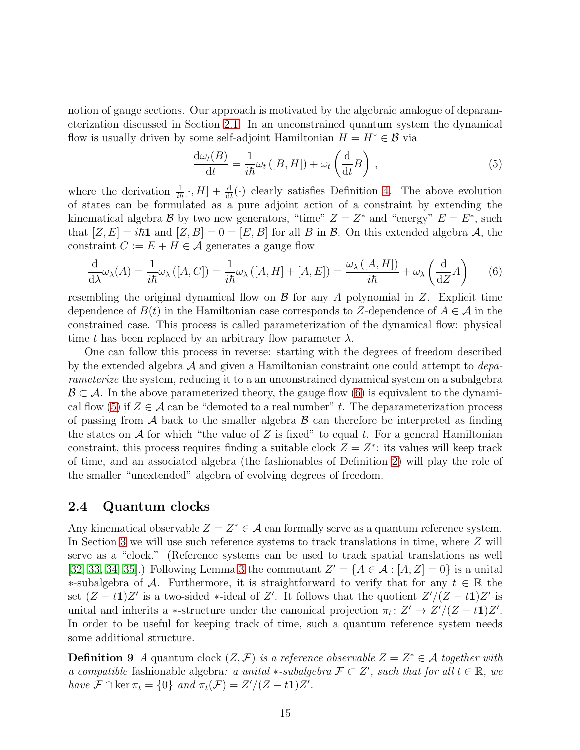notion of gauge sections. Our approach is motivated by the algebraic analogue of deparameterization discussed in Section [2.1.](#page-5-2) In an unconstrained quantum system the dynamical flow is usually driven by some self-adjoint Hamiltonian  $H = H^* \in \mathcal{B}$  via

<span id="page-14-1"></span>
$$
\frac{\mathrm{d}\omega_t(B)}{\mathrm{d}t} = \frac{1}{i\hbar}\omega_t([B, H]) + \omega_t\left(\frac{\mathrm{d}}{\mathrm{d}t}B\right),\tag{5}
$$

where the derivation  $\frac{1}{i\hbar}[\cdot, H] + \frac{d}{dt}(\cdot)$  clearly satisfies Definition [4.](#page-9-3) The above evolution of states can be formulated as a pure adjoint action of a constraint by extending the kinematical algebra  $\mathcal{B}$  by two new generators, "time"  $Z = Z^*$  and "energy"  $E = E^*$ , such that  $[Z, E] = i\hbar \mathbf{1}$  and  $[Z, B] = 0 = [E, B]$  for all B in B. On this extended algebra A, the constraint  $C := E + H \in \mathcal{A}$  generates a gauge flow

<span id="page-14-0"></span>
$$
\frac{\mathrm{d}}{\mathrm{d}\lambda}\omega_{\lambda}(A) = \frac{1}{i\hbar}\omega_{\lambda}\left([A,C]\right) = \frac{1}{i\hbar}\omega_{\lambda}\left([A,H] + [A,E]\right) = \frac{\omega_{\lambda}\left([A,H]\right)}{i\hbar} + \omega_{\lambda}\left(\frac{\mathrm{d}}{\mathrm{d}Z}A\right) \tag{6}
$$

resembling the original dynamical flow on  $\mathcal B$  for any A polynomial in Z. Explicit time dependence of  $B(t)$  in the Hamiltonian case corresponds to Z-dependence of  $A \in \mathcal{A}$  in the constrained case. This process is called parameterization of the dynamical flow: physical time t has been replaced by an arbitrary flow parameter  $\lambda$ .

One can follow this process in reverse: starting with the degrees of freedom described by the extended algebra  $A$  and given a Hamiltonian constraint one could attempt to *depa*rameterize the system, reducing it to a an unconstrained dynamical system on a subalgebra  $\mathcal{B} \subset \mathcal{A}$ . In the above parameterized theory, the gauge flow [\(6\)](#page-14-0) is equivalent to the dynami-cal flow [\(5\)](#page-14-1) if  $Z \in \mathcal{A}$  can be "demoted to a real number" t. The deparameterization process of passing from  $A$  back to the smaller algebra  $B$  can therefore be interpreted as finding the states on  $A$  for which "the value of Z is fixed" to equal t. For a general Hamiltonian constraint, this process requires finding a suitable clock  $Z = Z^*$ : its values will keep track of time, and an associated algebra (the fashionables of Definition [2\)](#page-3-0) will play the role of the smaller "unextended" algebra of evolving degrees of freedom.

#### <span id="page-14-2"></span>2.4 Quantum clocks

Any kinematical observable  $Z = Z^* \in \mathcal{A}$  can formally serve as a quantum reference system. In Section [3](#page-17-0) we will use such reference systems to track translations in time, where Z will serve as a "clock." (Reference systems can be used to track spatial translations as well [\[32,](#page-41-1) [33,](#page-41-2) [34,](#page-41-3) [35\]](#page-41-4).) Following Lemma [3](#page-11-0) the commutant  $Z' = \{A \in \mathcal{A} : [A, Z] = 0\}$  is a unital  $\ast$ -subalgebra of A. Furthermore, it is straightforward to verify that for any  $t \in \mathbb{R}$  the set  $(Z - t)Z'$  is a two-sided \*-ideal of Z'. It follows that the quotient  $Z'/(Z - t)Z'$  is unital and inherits a \*-structure under the canonical projection  $\pi_t: Z' \to Z'/(Z-t\mathbf{1})Z'.$ In order to be useful for keeping track of time, such a quantum reference system needs some additional structure.

<span id="page-14-3"></span>**Definition 9** A quantum clock  $(Z, \mathcal{F})$  is a reference observable  $Z = Z^* \in \mathcal{A}$  together with a compatible fashionable algebra: a unital \*-subalgebra  $\mathcal{F} \subset Z'$ , such that for all  $t \in \mathbb{R}$ , we have  $\mathcal{F} \cap \ker \pi_t = \{0\}$  and  $\pi_t(\mathcal{F}) = Z'/(Z - t\mathbf{1})Z'.$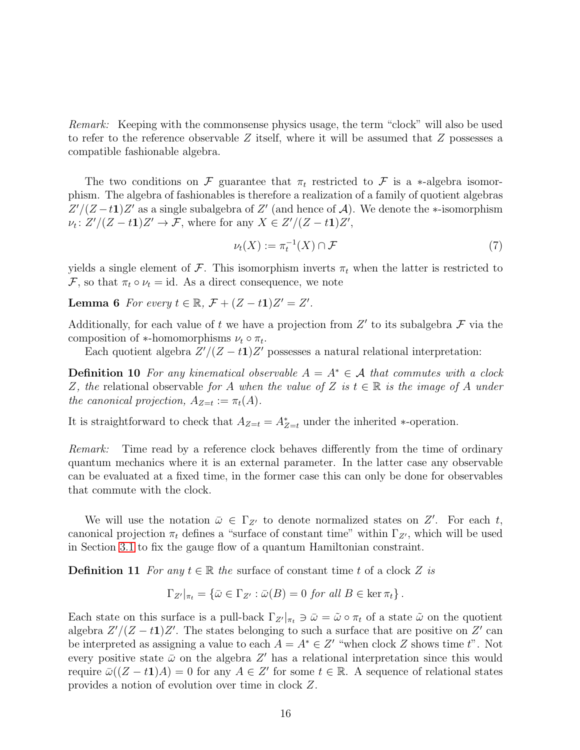Remark: Keeping with the commonsense physics usage, the term "clock" will also be used to refer to the reference observable  $Z$  itself, where it will be assumed that  $Z$  possesses a compatible fashionable algebra.

The two conditions on F guarantee that  $\pi_t$  restricted to F is a ∗-algebra isomorphism. The algebra of fashionables is therefore a realization of a family of quotient algebras  $Z'/(Z-t1)Z'$  as a single subalgebra of  $Z'$  (and hence of A). We denote the ∗-isomorphism  $\nu_t: Z'/(Z-t\mathbf{1})Z' \to \mathcal{F}$ , where for any  $X \in Z'/(Z-t\mathbf{1})Z'$ ,

<span id="page-15-1"></span><span id="page-15-0"></span>
$$
\nu_t(X) := \pi_t^{-1}(X) \cap \mathcal{F}
$$
\n<sup>(7)</sup>

yields a single element of F. This isomorphism inverts  $\pi_t$  when the latter is restricted to F, so that  $\pi_t \circ \nu_t = id$ . As a direct consequence, we note

**Lemma 6** For every  $t \in \mathbb{R}$ ,  $\mathcal{F} + (Z - t\mathbf{1})Z' = Z'$ .

Additionally, for each value of t we have a projection from  $Z'$  to its subalgebra  $\mathcal F$  via the composition of ∗-homomorphisms  $\nu_t \circ \pi_t$ .

Each quotient algebra  $Z'/(Z-t1)Z'$  possesses a natural relational interpretation:

**Definition 10** For any kinematical observable  $A = A^* \in \mathcal{A}$  that commutes with a clock Z, the relational observable for A when the value of Z is  $t \in \mathbb{R}$  is the image of A under the canonical projection,  $A_{Z=t} := \pi_t(A)$ .

It is straightforward to check that  $A_{Z=t} = A_{Z=t}^{*}$  under the inherited \*-operation.

Remark: Time read by a reference clock behaves differently from the time of ordinary quantum mechanics where it is an external parameter. In the latter case any observable can be evaluated at a fixed time, in the former case this can only be done for observables that commute with the clock.

We will use the notation  $\bar{\omega} \in \Gamma_{Z'}$  to denote normalized states on Z'. For each t, canonical projection  $\pi_t$  defines a "surface of constant time" within  $\Gamma_{Z'}$ , which will be used in Section [3.1](#page-18-0) to fix the gauge flow of a quantum Hamiltonian constraint.

<span id="page-15-2"></span>**Definition 11** For any  $t \in \mathbb{R}$  the surface of constant time t of a clock Z is

$$
\Gamma_{Z'}|_{\pi_t} = \left\{ \bar{\omega} \in \Gamma_{Z'} : \bar{\omega}(B) = 0 \text{ for all } B \in \ker \pi_t \right\}.
$$

<span id="page-15-3"></span>Each state on this surface is a pull-back  $\Gamma_{Z'}|_{\pi_t} \ni \bar{\omega} = \tilde{\omega} \circ \pi_t$  of a state  $\tilde{\omega}$  on the quotient algebra  $Z'/(Z-t1)Z'$ . The states belonging to such a surface that are positive on  $Z'$  can be interpreted as assigning a value to each  $A = A^* \in Z'$  "when clock Z shows time t". Not every positive state  $\bar{\omega}$  on the algebra Z' has a relational interpretation since this would require  $\bar{\omega}((Z-t1)A) = 0$  for any  $A \in Z'$  for some  $t \in \mathbb{R}$ . A sequence of relational states provides a notion of evolution over time in clock Z.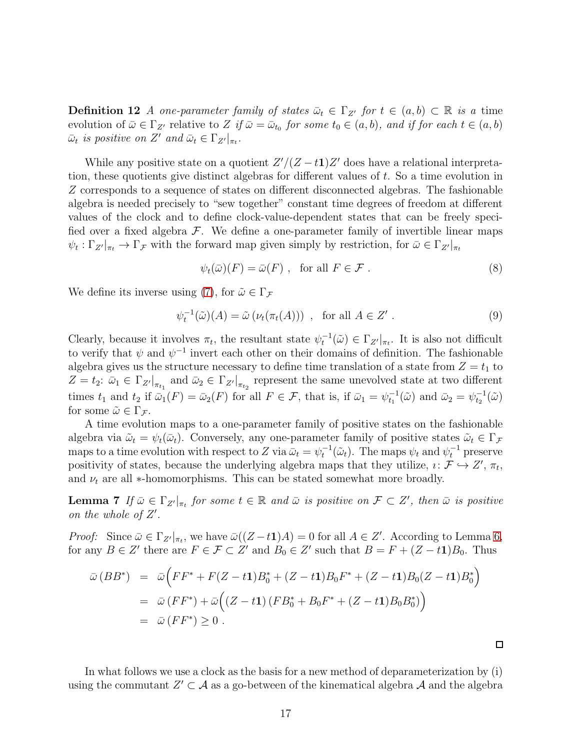**Definition 12** A one-parameter family of states  $\bar{\omega}_t \in \Gamma_{Z'}$  for  $t \in (a, b) \subset \mathbb{R}$  is a time evolution of  $\bar{\omega} \in \Gamma_{Z'}$  relative to Z if  $\bar{\omega} = \bar{\omega}_{t_0}$  for some  $t_0 \in (a, b)$ , and if for each  $t \in (a, b)$  $\bar{\omega}_t$  is positive on Z' and  $\bar{\omega}_t \in \Gamma_{Z'}|_{\pi_t}$ .

While any positive state on a quotient  $Z'/(Z-t1)Z'$  does have a relational interpretation, these quotients give distinct algebras for different values of  $t$ . So a time evolution in Z corresponds to a sequence of states on different disconnected algebras. The fashionable algebra is needed precisely to "sew together" constant time degrees of freedom at different values of the clock and to define clock-value-dependent states that can be freely specified over a fixed algebra  $\mathcal F$ . We define a one-parameter family of invertible linear maps  $\psi_t : \Gamma_{Z'}|_{\pi_t} \to \Gamma_{\mathcal{F}}$  with the forward map given simply by restriction, for  $\bar{\omega} \in \Gamma_{Z'}|_{\pi_t}$ 

<span id="page-16-0"></span>
$$
\psi_t(\bar{\omega})(F) = \bar{\omega}(F) , \text{ for all } F \in \mathcal{F} . \tag{8}
$$

We define its inverse using [\(7\)](#page-15-0), for  $\tilde{\omega} \in \Gamma_{\mathcal{F}}$ 

$$
\psi_t^{-1}(\tilde{\omega})(A) = \tilde{\omega} \left( \nu_t(\pi_t(A)) \right) , \text{ for all } A \in Z' . \tag{9}
$$

Clearly, because it involves  $\pi_t$ , the resultant state  $\psi_t^{-1}(\tilde{\omega}) \in \Gamma_{Z'}|_{\pi_t}$ . It is also not difficult to verify that  $\psi$  and  $\psi^{-1}$  invert each other on their domains of definition. The fashionable algebra gives us the structure necessary to define time translation of a state from  $Z = t_1$  to  $Z = t_2$ :  $\bar{\omega}_1 \in \Gamma_{Z'}|_{\pi_{t_1}}$  and  $\bar{\omega}_2 \in \Gamma_{Z'}|_{\pi_{t_2}}$  represent the same unevolved state at two different times  $t_1$  and  $t_2$  if  $\bar{\omega}_1(F) = \bar{\omega}_2(F)$  for all  $F \in \mathcal{F}$ , that is, if  $\bar{\omega}_1 = \psi_{t_1}^{-1}(\tilde{\omega})$  and  $\bar{\omega}_2 = \psi_{t_2}^{-1}(\tilde{\omega})$ for some  $\tilde{\omega} \in \Gamma_{\mathcal{F}}$ .

A time evolution maps to a one-parameter family of positive states on the fashionable algebra via  $\tilde{\omega}_t = \psi_t(\bar{\omega}_t)$ . Conversely, any one-parameter family of positive states  $\tilde{\omega}_t \in \Gamma_{\mathcal{F}}$ maps to a time evolution with respect to Z via  $\bar{\omega}_t = \psi_t^{-1}(\tilde{\omega}_t)$ . The maps  $\psi_t$  and  $\psi_t^{-1}$  preserve positivity of states, because the underlying algebra maps that they utilize,  $i: \mathcal{F} \hookrightarrow Z'$ ,  $\pi_t$ , and  $\nu_t$  are all  $*$ -homomorphisms. This can be stated somewhat more broadly.

**Lemma 7** If  $\bar{\omega} \in \Gamma_{Z'}|_{\pi_t}$  for some  $t \in \mathbb{R}$  and  $\bar{\omega}$  is positive on  $\mathcal{F} \subset Z'$ , then  $\bar{\omega}$  is positive on the whole of  $Z'$ .

*Proof:* Since  $\bar{\omega} \in \Gamma_{Z'}|_{\pi_t}$ , we have  $\bar{\omega}((Z-t1)A) = 0$  for all  $A \in Z'$ . According to Lemma [6,](#page-15-1) for any  $B \in Z'$  there are  $F \in \mathcal{F} \subset Z'$  and  $B_0 \in Z'$  such that  $B = F + (Z - t\mathbf{1})B_0$ . Thus

$$
\bar{\omega}(BB^*) = \bar{\omega}\Big(FF^* + F(Z - t\mathbf{1})B_0^* + (Z - t\mathbf{1})B_0F^* + (Z - t\mathbf{1})B_0(Z - t\mathbf{1})B_0^*\Big) \n= \bar{\omega}(FF^*) + \bar{\omega}\Big((Z - t\mathbf{1})(FB_0^* + B_0F^* + (Z - t\mathbf{1})B_0B_0^*)\Big) \n= \bar{\omega}(FF^*) \ge 0.
$$

In what follows we use a clock as the basis for a new method of deparameterization by (i) using the commutant  $Z' \subset \mathcal{A}$  as a go-between of the kinematical algebra  $\mathcal{A}$  and the algebra

<span id="page-16-1"></span> $\Box$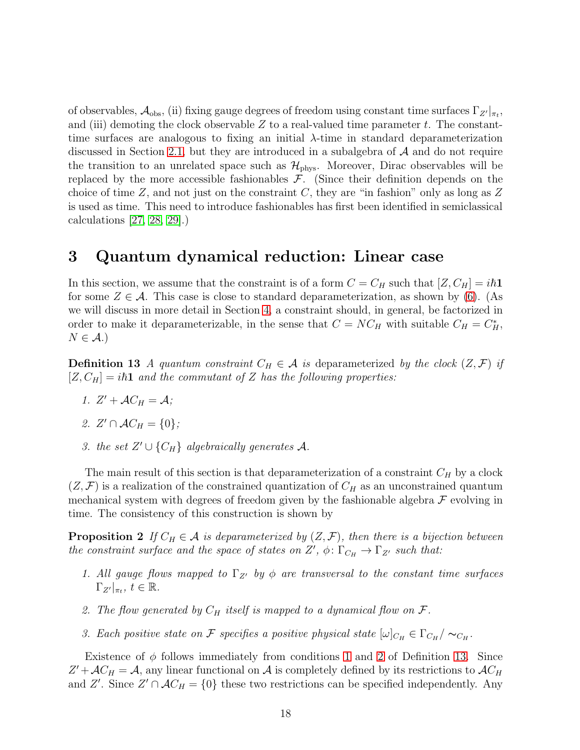of observables,  $\mathcal{A}_{obs}$ , (ii) fixing gauge degrees of freedom using constant time surfaces  $\Gamma_{Z'}|_{\pi_t}$ , and (iii) demoting the clock observable  $Z$  to a real-valued time parameter  $t$ . The constanttime surfaces are analogous to fixing an initial  $\lambda$ -time in standard deparameterization discussed in Section [2.1,](#page-5-2) but they are introduced in a subalgebra of  $A$  and do not require the transition to an unrelated space such as  $\mathcal{H}_{\text{phys}}$ . Moreover, Dirac observables will be replaced by the more accessible fashionables  $\mathcal{F}$ . (Since their definition depends on the choice of time  $Z$ , and not just on the constraint  $C$ , they are "in fashion" only as long as  $Z$ is used as time. This need to introduce fashionables has first been identified in semiclassical calculations [\[27,](#page-40-12) [28,](#page-40-13) [29\]](#page-40-14).)

## <span id="page-17-0"></span>3 Quantum dynamical reduction: Linear case

In this section, we assume that the constraint is of a form  $C = C_H$  such that  $[Z, C_H] = i\hbar \mathbf{1}$ for some  $Z \in \mathcal{A}$ . This case is close to standard deparameterization, as shown by [\(6\)](#page-14-0). (As we will discuss in more detail in Section [4,](#page-29-0) a constraint should, in general, be factorized in order to make it deparameterizable, in the sense that  $C = NC_H$  with suitable  $C_H = C_H^*$ ,  $N \in \mathcal{A}$ .)

<span id="page-17-3"></span><span id="page-17-1"></span>**Definition 13** A quantum constraint  $C_H \in \mathcal{A}$  is deparameterized by the clock  $(Z, \mathcal{F})$  if  $[Z, C_H] = i\hbar \mathbf{1}$  and the commutant of Z has the following properties:

- <span id="page-17-2"></span>1.  $Z' + \mathcal{A}C_H = \mathcal{A}$ ;
- <span id="page-17-4"></span>2.  $Z' \cap AC_H = \{0\};$
- <span id="page-17-6"></span>3. the set  $Z' \cup \{C_H\}$  algebraically generates A.

The main result of this section is that deparameterization of a constraint  $C_H$  by a clock  $(Z, \mathcal{F})$  is a realization of the constrained quantization of  $C_H$  as an unconstrained quantum mechanical system with degrees of freedom given by the fashionable algebra  $\mathcal F$  evolving in time. The consistency of this construction is shown by

**Proposition 2** If  $C_H \in \mathcal{A}$  is deparameterized by  $(Z, \mathcal{F})$ , then there is a bijection between the constraint surface and the space of states on  $Z', \phi \colon \Gamma_{C_H} \to \Gamma_{Z'}$  such that:

- 1. All gauge flows mapped to  $\Gamma_{Z'}$  by  $\phi$  are transversal to the constant time surfaces  $\Gamma_{Z'}|_{\pi_t},\ t\in\mathbb{R}.$
- <span id="page-17-5"></span>2. The flow generated by  $C_H$  itself is mapped to a dynamical flow on  $\mathcal{F}$ .
- 3. Each positive state on F specifies a positive physical state  $[\omega]_{C_H} \in \Gamma_{C_H}/\sim_{C_H}$ .

Existence of  $\phi$  follows immediately from conditions [1](#page-17-1) and [2](#page-17-2) of Definition [13.](#page-17-3) Since  $Z' + \mathcal{A}C_H = \mathcal{A}$ , any linear functional on  $\mathcal{A}$  is completely defined by its restrictions to  $\mathcal{A}C_H$ and Z'. Since  $Z' \cap AC_H = \{0\}$  these two restrictions can be specified independently. Any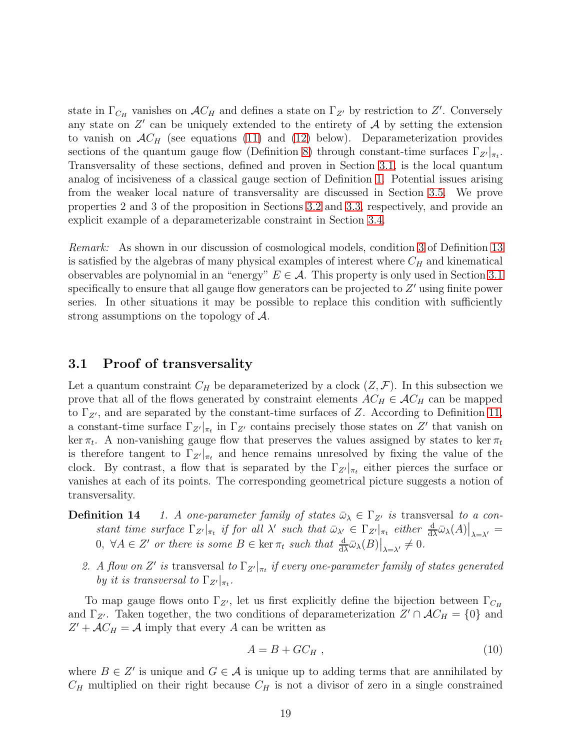state in  $\Gamma_{C_H}$  vanishes on  $AC_H$  and defines a state on  $\Gamma_{Z'}$  by restriction to Z'. Conversely any state on  $Z'$  can be uniquely extended to the entirety of  $A$  by setting the extension to vanish on  $AC_H$  (see equations [\(11\)](#page-19-0) and [\(12\)](#page-19-1) below). Deparameterization provides sections of the quantum gauge flow (Definition [8\)](#page-11-1) through constant-time surfaces  $\Gamma_{Z'}|_{\pi_t}$ . Transversality of these sections, defined and proven in Section [3.1,](#page-18-0) is the local quantum analog of incisiveness of a classical gauge section of Definition [1.](#page-1-0) Potential issues arising from the weaker local nature of transversality are discussed in Section [3.5.](#page-28-0) We prove properties 2 and 3 of the proposition in Sections [3.2](#page-22-0) and [3.3,](#page-24-1) respectively, and provide an explicit example of a deparameterizable constraint in Section [3.4.](#page-26-0)

Remark: As shown in our discussion of cosmological models, condition [3](#page-17-4) of Definition [13](#page-17-3) is satisfied by the algebras of many physical examples of interest where  $C_H$  and kinematical observables are polynomial in an "energy"  $E \in \mathcal{A}$ . This property is only used in Section [3.1](#page-18-0) specifically to ensure that all gauge flow generators can be projected to  $Z'$  using finite power series. In other situations it may be possible to replace this condition with sufficiently strong assumptions on the topology of A.

### <span id="page-18-0"></span>3.1 Proof of transversality

Let a quantum constraint  $C_H$  be deparameterized by a clock  $(Z, \mathcal{F})$ . In this subsection we prove that all of the flows generated by constraint elements  $AC_H \in AC_H$  can be mapped to  $\Gamma_{Z'}$ , and are separated by the constant-time surfaces of Z. According to Definition [11,](#page-15-2) a constant-time surface  $\Gamma_{Z'}|_{\pi_t}$  in  $\Gamma_{Z'}$  contains precisely those states on  $Z'$  that vanish on ker  $\pi_t$ . A non-vanishing gauge flow that preserves the values assigned by states to ker  $\pi_t$ is therefore tangent to  $\Gamma_{Z'}|_{\pi_t}$  and hence remains unresolved by fixing the value of the clock. By contrast, a flow that is separated by the  $\Gamma_{Z'}|_{\pi_t}$  either pierces the surface or vanishes at each of its points. The corresponding geometrical picture suggests a notion of transversality.

- <span id="page-18-2"></span>**Definition 14** 1. A one-parameter family of states  $\bar{\omega}_{\lambda} \in \Gamma_{Z'}$  is transversal to a constant time surface  $\Gamma_{Z'}|_{\pi_t}$  if for all  $\lambda'$  such that  $\bar{\omega}_{\lambda'} \in \Gamma_{Z'}|_{\pi_t}$  either  $\frac{d}{d\lambda} \bar{\omega}_{\lambda}(A)|_{\lambda = \lambda'} =$  $0, \ \forall A \in Z' \ \text{or there is some } B \in \ker \pi_t \ \text{such that } \frac{d}{d\lambda} \bar{\omega}_{\lambda}(B)|_{\lambda = \lambda'} \neq 0.$ 
	- 2. A flow on Z' is transversal to  $\Gamma_{Z'}|_{\pi_t}$  if every one-parameter family of states generated by it is transversal to  $\Gamma_{Z'}|_{\pi_t}$ .

To map gauge flows onto  $\Gamma_{Z'}$ , let us first explicitly define the bijection between  $\Gamma_{C_H}$ and  $\Gamma_{Z'}$ . Taken together, the two conditions of deparameterization  $Z' \cap AC_H = \{0\}$  and  $Z' + \mathcal{A}C_H = \mathcal{A}$  imply that every A can be written as

<span id="page-18-1"></span>
$$
A = B + GC_H , \t\t(10)
$$

where  $B \in \mathbb{Z}'$  is unique and  $G \in \mathcal{A}$  is unique up to adding terms that are annihilated by  $C_H$  multiplied on their right because  $C_H$  is not a divisor of zero in a single constrained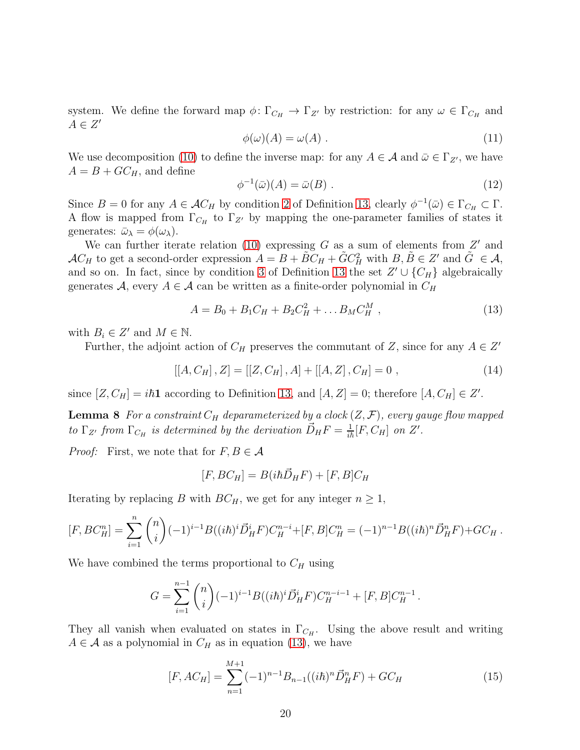system. We define the forward map  $\phi \colon \Gamma_{C_H} \to \Gamma_{Z'}$  by restriction: for any  $\omega \in \Gamma_{C_H}$  and  $A \in Z'$ 

<span id="page-19-0"></span>
$$
\phi(\omega)(A) = \omega(A) \tag{11}
$$

We use decomposition [\(10\)](#page-18-1) to define the inverse map: for any  $A \in \mathcal{A}$  and  $\bar{\omega} \in \Gamma_{Z'}$ , we have  $A = B + GC_H$ , and define

<span id="page-19-1"></span>
$$
\phi^{-1}(\bar{\omega})(A) = \bar{\omega}(B) . \tag{12}
$$

Since  $B = 0$  for any  $A \in \mathcal{A}C_H$  by condition [2](#page-17-2) of Definition [13,](#page-17-3) clearly  $\phi^{-1}(\bar{\omega}) \in \Gamma_{C_H} \subset \Gamma$ . A flow is mapped from  $\Gamma_{C_H}$  to  $\Gamma_{Z'}$  by mapping the one-parameter families of states it generates:  $\bar{\omega}_{\lambda} = \phi(\omega_{\lambda}).$ 

We can further iterate relation  $(10)$  expressing G as a sum of elements from  $Z'$  and  $AC_H$  to get a second-order expression  $A = B + \tilde{B}C_H + \tilde{G}C_H^2$  with  $B, \tilde{B} \in \mathbb{Z}'$  and  $\tilde{G} \in \mathcal{A}$ , and so on. In fact, since by condition [3](#page-17-4) of Definition [13](#page-17-3) the set  $Z' \cup \{C_H\}$  algebraically generates A, every  $A \in \mathcal{A}$  can be written as a finite-order polynomial in  $C_H$ 

<span id="page-19-2"></span>
$$
A = B_0 + B_1 C_H + B_2 C_H^2 + \dots B_M C_H^M , \qquad (13)
$$

with  $B_i \in Z'$  and  $M \in \mathbb{N}$ .

Further, the adjoint action of  $C_H$  preserves the commutant of Z, since for any  $A \in Z'$ 

<span id="page-19-4"></span>
$$
[[A, C_H], Z] = [[Z, C_H], A] + [[A, Z], C_H] = 0 , \qquad (14)
$$

since  $[Z, C_H] = i\hbar \mathbf{1}$  according to Definition [13,](#page-17-3) and  $[A, Z] = 0$ ; therefore  $[A, C_H] \in Z'$ .

**Lemma 8** For a constraint  $C_H$  deparameterized by a clock  $(Z, \mathcal{F})$ , every gauge flow mapped to  $\Gamma_{Z'}$  from  $\Gamma_{C_H}$  is determined by the derivation  $\vec{D}_H F = \frac{1}{i\hbar} [F, C_H]$  on  $Z'$ .

*Proof:* First, we note that for  $F, B \in \mathcal{A}$ 

$$
[F, BC_H] = B(i\hbar \vec{D}_H F) + [F, B]C_H
$$

Iterating by replacing B with  $BC_H$ , we get for any integer  $n \geq 1$ ,

$$
[F, BC_H^n] = \sum_{i=1}^n \binom{n}{i} (-1)^{i-1} B((i\hbar)^i \vec{D}_H^i F) C_H^{n-i} + [F, B] C_H^n = (-1)^{n-1} B((i\hbar)^n \vec{D}_H^n F) + G C_H.
$$

We have combined the terms proportional to  $C_H$  using

$$
G = \sum_{i=1}^{n-1} {n \choose i} (-1)^{i-1} B((i\hbar)^i \vec{D}_H^i F) C_H^{n-i-1} + [F, B] C_H^{n-1}.
$$

They all vanish when evaluated on states in  $\Gamma_{C_H}$ . Using the above result and writing  $A \in \mathcal{A}$  as a polynomial in  $C_H$  as in equation [\(13\)](#page-19-2), we have

<span id="page-19-3"></span>
$$
[F, AC_H] = \sum_{n=1}^{M+1} (-1)^{n-1} B_{n-1}((i\hbar)^n \vec{D}_H^n F) + GC_H
$$
\n(15)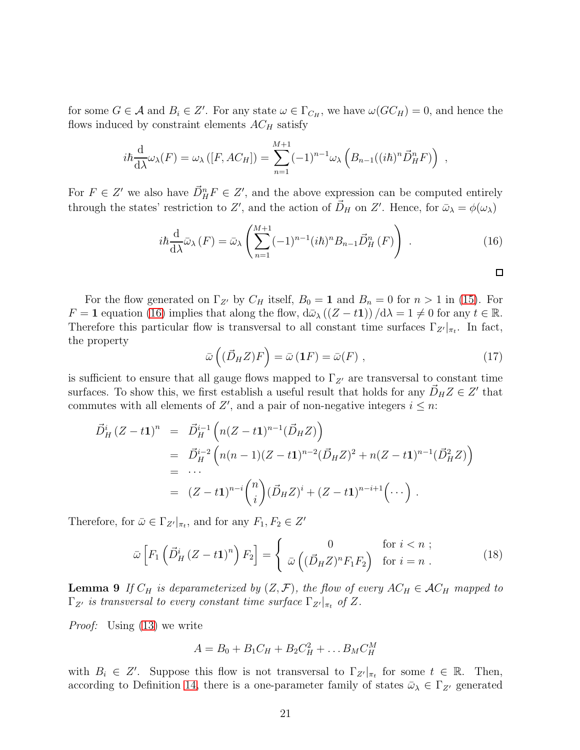for some  $G \in \mathcal{A}$  and  $B_i \in \mathbb{Z}'$ . For any state  $\omega \in \Gamma_{C_H}$ , we have  $\omega(GC_H) = 0$ , and hence the flows induced by constraint elements  $AC_H$  satisfy

$$
i\hbar \frac{\mathrm{d}}{\mathrm{d}\lambda}\omega_{\lambda}(F) = \omega_{\lambda}\left([F, AC_H]\right) = \sum_{n=1}^{M+1} (-1)^{n-1} \omega_{\lambda}\left(B_{n-1}((i\hbar)^n \vec{D}_H^n F)\right) ,
$$

For  $F \in Z'$  we also have  $\vec{D}_{H}^{n} F \in Z'$ , and the above expression can be computed entirely through the states' restriction to Z', and the action of  $\vec{D}_H$  on Z'. Hence, for  $\bar{\omega}_{\lambda} = \phi(\omega_{\lambda})$ 

<span id="page-20-0"></span>
$$
i\hbar \frac{\mathrm{d}}{\mathrm{d}\lambda} \bar{\omega}_{\lambda}(F) = \bar{\omega}_{\lambda} \left( \sum_{n=1}^{M+1} (-1)^{n-1} (i\hbar)^n B_{n-1} \vec{D}_H^n(F) \right) . \tag{16}
$$

For the flow generated on  $\Gamma_{Z'}$  by  $C_H$  itself,  $B_0 = 1$  and  $B_n = 0$  for  $n > 1$  in [\(15\)](#page-19-3). For  $F = 1$  equation [\(16\)](#page-20-0) implies that along the flow,  $d\bar{\omega}_{\lambda} ((Z - t1)) / d\lambda = 1 \neq 0$  for any  $t \in \mathbb{R}$ . Therefore this particular flow is transversal to all constant time surfaces  $\Gamma_{Z'}|_{\pi_t}$ . In fact, the property

$$
\bar{\omega}(\left(\vec{D}_H Z\right)F) = \bar{\omega}(\mathbf{1}F) = \bar{\omega}(F) \;, \tag{17}
$$

 $\Box$ 

is sufficient to ensure that all gauge flows mapped to  $\Gamma_{Z'}$  are transversal to constant time surfaces. To show this, we first establish a useful result that holds for any  $\vec{D}_H Z \in Z'$  that commutes with all elements of  $Z'$ , and a pair of non-negative integers  $i \leq n$ :

$$
\begin{split} \vec{D}^i_H (Z - t\mathbf{1})^n &= \vec{D}^{i-1}_H \left( n(Z - t\mathbf{1})^{n-1} (\vec{D}_H Z) \right) \\ &= \vec{D}^{i-2}_H \left( n(n-1)(Z - t\mathbf{1})^{n-2} (\vec{D}_H Z)^2 + n(Z - t\mathbf{1})^{n-1} (\vec{D}_H^2 Z) \right) \\ &= \cdots \\ &= (Z - t\mathbf{1})^{n-i} \binom{n}{i} (\vec{D}_H Z)^i + (Z - t\mathbf{1})^{n-i+1} \left( \cdots \right) \,. \end{split}
$$

Therefore, for  $\bar{\omega} \in \Gamma_{Z'}|_{\pi_t}$ , and for any  $F_1, F_2 \in Z'$ 

<span id="page-20-1"></span>
$$
\bar{\omega}\left[F_1\left(\vec{D}_H^i\left(Z-t\mathbf{1}\right)^n\right)F_2\right] = \begin{cases} 0 & \text{for } i < n ;\\ \bar{\omega}\left((\vec{D}_H Z)^n F_1 F_2\right) & \text{for } i = n . \end{cases}
$$
(18)

**Lemma 9** If  $C_H$  is deparameterized by  $(Z, \mathcal{F})$ , the flow of every  $AC_H \in \mathcal{A}C_H$  mapped to  $\Gamma_{Z'}$  is transversal to every constant time surface  $\Gamma_{Z'}|_{\pi_t}$  of Z.

Proof: Using [\(13\)](#page-19-2) we write

$$
A=B_0+B_1C_H+B_2C_H^2+\ldots B_MC_H^M
$$

with  $B_i \in Z'$ . Suppose this flow is not transversal to  $\Gamma_{Z'}|_{\pi_t}$  for some  $t \in \mathbb{R}$ . Then, according to Definition [14,](#page-18-2) there is a one-parameter family of states  $\bar{\omega}_{\lambda} \in \Gamma_{Z'}$  generated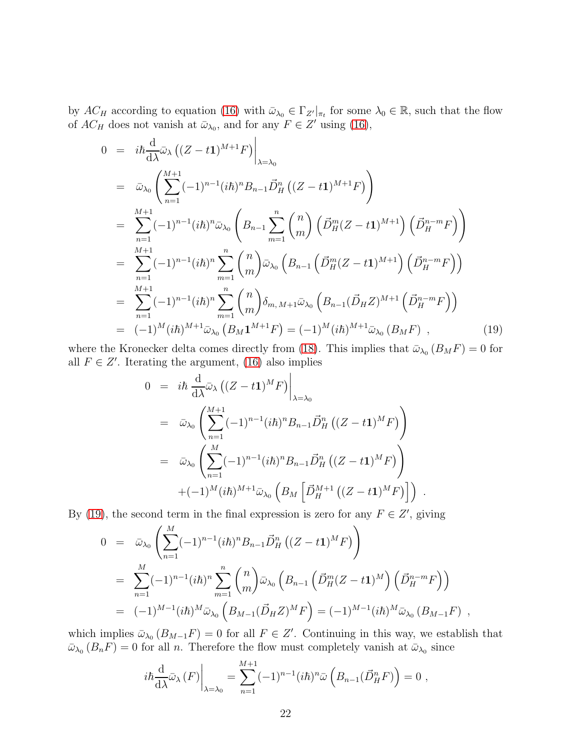by  $AC_H$  according to equation [\(16\)](#page-20-0) with  $\bar{\omega}_{\lambda_0} \in \Gamma_{Z'}|_{\pi_t}$  for some  $\lambda_0 \in \mathbb{R}$ , such that the flow of  $AC_H$  does not vanish at  $\bar{\omega}_{\lambda_0}$ , and for any  $F \in Z'$  using [\(16\)](#page-20-0),

<span id="page-21-0"></span>
$$
0 = i\hbar \frac{d}{d\lambda} \bar{\omega}_{\lambda} ((Z - t1)^{M+1} F) \Big|_{\lambda = \lambda_0}
$$
  
\n
$$
= \bar{\omega}_{\lambda_0} \left( \sum_{n=1}^{M+1} (-1)^{n-1} (i\hbar)^n B_{n-1} \bar{D}_H^n ((Z - t1)^{M+1} F) \right)
$$
  
\n
$$
= \sum_{n=1}^{M+1} (-1)^{n-1} (i\hbar)^n \bar{\omega}_{\lambda_0} \left( B_{n-1} \sum_{m=1}^n {n \choose m} \left( \bar{D}_H^m (Z - t1)^{M+1} \right) \left( \bar{D}_H^{n-m} F \right) \right)
$$
  
\n
$$
= \sum_{n=1}^{M+1} (-1)^{n-1} (i\hbar)^n \sum_{m=1}^n {n \choose m} \bar{\omega}_{\lambda_0} \left( B_{n-1} \left( \bar{D}_H^m (Z - t1)^{M+1} \right) \left( \bar{D}_H^{n-m} F \right) \right)
$$
  
\n
$$
= \sum_{n=1}^{M+1} (-1)^{n-1} (i\hbar)^n \sum_{m=1}^n {n \choose m} \delta_{m,M+1} \bar{\omega}_{\lambda_0} \left( B_{n-1} (\bar{D}_H Z)^{M+1} \left( \bar{D}_H^{n-m} F \right) \right)
$$
  
\n
$$
= (-1)^M (i\hbar)^{M+1} \bar{\omega}_{\lambda_0} \left( B_M 1^{M+1} F \right) = (-1)^M (i\hbar)^{M+1} \bar{\omega}_{\lambda_0} \left( B_M F \right) , \qquad (19)
$$

where the Kronecker delta comes directly from [\(18\)](#page-20-1). This implies that  $\bar{\omega}_{\lambda_0}(B_M F) = 0$  for all  $F \in Z'$ . Iterating the argument, [\(16\)](#page-20-0) also implies

$$
0 = i\hbar \frac{d}{d\lambda} \bar{\omega}_{\lambda} ((Z - t\mathbf{1})^M F) \Big|_{\lambda = \lambda_0}
$$
  
\n
$$
= \bar{\omega}_{\lambda_0} \left( \sum_{n=1}^{M+1} (-1)^{n-1} (i\hbar)^n B_{n-1} \bar{D}_H^n ((Z - t\mathbf{1})^M F) \right)
$$
  
\n
$$
= \bar{\omega}_{\lambda_0} \left( \sum_{n=1}^M (-1)^{n-1} (i\hbar)^n B_{n-1} \bar{D}_H^n ((Z - t\mathbf{1})^M F) \right)
$$
  
\n
$$
+ (-1)^M (i\hbar)^{M+1} \bar{\omega}_{\lambda_0} \left( B_M \left[ \bar{D}_H^{M+1} ((Z - t\mathbf{1})^M F) \right] \right) .
$$

By [\(19\)](#page-21-0), the second term in the final expression is zero for any  $F \in Z'$ , giving

$$
0 = \bar{\omega}_{\lambda_0} \left( \sum_{n=1}^{M} (-1)^{n-1} (i\hbar)^n B_{n-1} \vec{D}_H^n ((Z - t\mathbf{1})^M F) \right)
$$
  
\n
$$
= \sum_{n=1}^{M} (-1)^{n-1} (i\hbar)^n \sum_{m=1}^{n} {n \choose m} \bar{\omega}_{\lambda_0} \left( B_{n-1} \left( \vec{D}_H^m (Z - t\mathbf{1})^M \right) \left( \vec{D}_H^{n-m} F \right) \right)
$$
  
\n
$$
= (-1)^{M-1} (i\hbar)^M \bar{\omega}_{\lambda_0} \left( B_{M-1} (\vec{D}_H Z)^M F \right) = (-1)^{M-1} (i\hbar)^M \bar{\omega}_{\lambda_0} \left( B_{M-1} F \right) ,
$$

which implies  $\bar{\omega}_{\lambda_0}(B_{M-1}F) = 0$  for all  $F \in Z'$ . Continuing in this way, we establish that  $\bar{\omega}_{\lambda_0}(B_n F) = 0$  for all *n*. Therefore the flow must completely vanish at  $\bar{\omega}_{\lambda_0}$  since

$$
i\hbar \frac{\mathrm{d}}{\mathrm{d}\lambda}\bar{\omega}_{\lambda}(F)\bigg|_{\lambda=\lambda_0} = \sum_{n=1}^{M+1} (-1)^{n-1} (i\hbar)^n \bar{\omega}\left(B_{n-1}(\vec{D}_H^n F)\right) = 0,
$$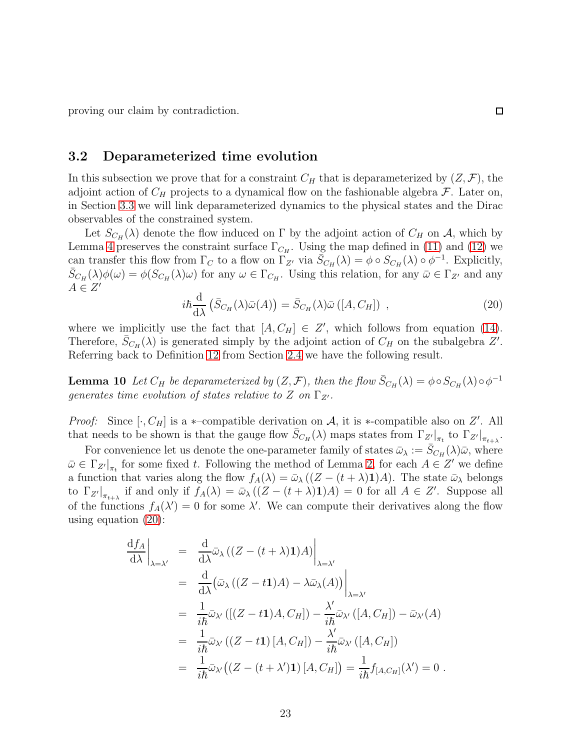proving our claim by contradiction.

#### <span id="page-22-0"></span>3.2 Deparameterized time evolution

In this subsection we prove that for a constraint  $C_H$  that is deparameterized by  $(Z, \mathcal{F})$ , the adjoint action of  $C_H$  projects to a dynamical flow on the fashionable algebra  $\mathcal F$ . Later on, in Section [3.3](#page-24-1) we will link deparameterized dynamics to the physical states and the Dirac observables of the constrained system.

Let  $S_{C_H}(\lambda)$  denote the flow induced on  $\Gamma$  by the adjoint action of  $C_H$  on  $\mathcal{A}$ , which by Lemma [4](#page-12-0) preserves the constraint surface  $\Gamma_{C_H}$ . Using the map defined in [\(11\)](#page-19-0) and [\(12\)](#page-19-1) we can transfer this flow from  $\Gamma_C$  to a flow on  $\Gamma_{Z'}$  via  $\bar{S}_{C_H}(\lambda) = \phi \circ S_{C_H}(\lambda) \circ \phi^{-1}$ . Explicitly,  $\bar{S}_{C_H}(\lambda)\phi(\omega) = \phi(S_{C_H}(\lambda)\omega)$  for any  $\omega \in \Gamma_{C_H}$ . Using this relation, for any  $\bar{\omega} \in \Gamma_{Z'}$  and any  $A \in Z'$ 

<span id="page-22-1"></span>
$$
i\hbar \frac{\mathrm{d}}{\mathrm{d}\lambda} \left( \bar{S}_{C_H}(\lambda)\bar{\omega}(A) \right) = \bar{S}_{C_H}(\lambda)\bar{\omega} \left( [A, C_H] \right) , \qquad (20)
$$

where we implicitly use the fact that  $[A, C_H] \in Z'$ , which follows from equation [\(14\)](#page-19-4). Therefore,  $\bar{S}_{CH}(\lambda)$  is generated simply by the adjoint action of  $C_H$  on the subalgebra  $Z'$ . Referring back to Definition [12](#page-15-3) from Section [2.4](#page-14-2) we have the following result.

<span id="page-22-2"></span>**Lemma 10** Let  $C_H$  be deparameterized by  $(Z, \mathcal{F})$ , then the flow  $\bar{S}_{C_H}(\lambda) = \phi \circ S_{C_H}(\lambda) \circ \phi^{-1}$ generates time evolution of states relative to Z on  $\Gamma_{Z'}$ .

*Proof:* Since  $[\cdot, C_H]$  is a  $\ast$ -compatible derivation on A, it is  $\ast$ -compatible also on Z'. All that needs to be shown is that the gauge flow  $\bar{S}_{C_H}(\lambda)$  maps states from  $\Gamma_{Z'}|_{\pi_t}$  to  $\Gamma_{Z'}|_{\pi_{t+\lambda}}$ .

For convenience let us denote the one-parameter family of states  $\bar{\omega}_{\lambda} := \bar{S}_{C_H}(\lambda)\bar{\omega}$ , where  $\bar{\omega} \in \Gamma_{Z'}|_{\pi_t}$  for some fixed t. Following the method of Lemma [2,](#page-9-2) for each  $A \in Z'$  we define a function that varies along the flow  $f_A(\lambda) = \bar{\omega}_{\lambda} ((Z - (t + \lambda) \mathbf{1})A)$ . The state  $\bar{\omega}_{\lambda}$  belongs to  $\Gamma_{Z'}|_{\pi_{t+\lambda}}$  if and only if  $f_A(\lambda) = \bar{\omega}_{\lambda} ((Z - (t + \lambda) \mathbf{1})A) = 0$  for all  $A \in Z'$ . Suppose all of the functions  $f_A(\lambda') = 0$  for some  $\lambda'$ . We can compute their derivatives along the flow using equation [\(20\)](#page-22-1):

$$
\frac{df_A}{d\lambda}\Big|_{\lambda=\lambda'} = \frac{d}{d\lambda}\bar{\omega}_{\lambda}\left((Z - (t + \lambda)\mathbf{1})A\right)\Big|_{\lambda=\lambda'}
$$
  
\n
$$
= \frac{d}{d\lambda}\left(\bar{\omega}_{\lambda}\left((Z - t\mathbf{1})A\right) - \lambda\bar{\omega}_{\lambda}(A)\right)\Big|_{\lambda=\lambda'}
$$
  
\n
$$
= \frac{1}{i\hbar}\bar{\omega}_{\lambda'}\left(\left[(Z - t\mathbf{1})A, C_H\right] - \frac{\lambda'}{i\hbar}\bar{\omega}_{\lambda'}\left(\left[A, C_H\right] - \bar{\omega}_{\lambda'}(A)\right)\right)
$$
  
\n
$$
= \frac{1}{i\hbar}\bar{\omega}_{\lambda'}\left((Z - t\mathbf{1})[A, C_H]\right) - \frac{\lambda'}{i\hbar}\bar{\omega}_{\lambda'}\left(\left[A, C_H\right]\right)
$$
  
\n
$$
= \frac{1}{i\hbar}\bar{\omega}_{\lambda'}\left((Z - (t + \lambda')\mathbf{1})[A, C_H]\right) = \frac{1}{i\hbar}f_{[A, C_H]}(\lambda') = 0.
$$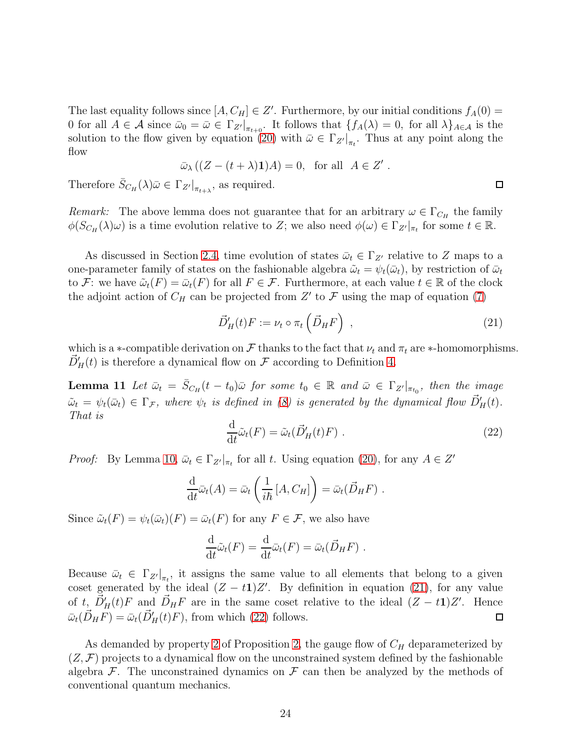The last equality follows since  $[A, C_H] \in Z'$ . Furthermore, by our initial conditions  $f_A(0) =$ 0 for all  $A \in \mathcal{A}$  since  $\bar{\omega}_0 = \bar{\omega} \in \Gamma_{Z'}|_{\pi_{t+0}}$ . It follows that  $\{f_A(\lambda) = 0$ , for all  $\lambda\}_{A \in \mathcal{A}}$  is the solution to the flow given by equation [\(20\)](#page-22-1) with  $\bar{\omega} \in \Gamma_{Z'}|_{\pi_t}$ . Thus at any point along the flow

$$
\bar{\omega}_{\lambda} ((Z - (t + \lambda) \mathbf{1}) A) = 0, \text{ for all } A \in Z' .
$$

Therefore  $\bar{S}_{C_H}(\lambda)\bar{\omega} \in \Gamma_{Z'}|_{\pi_{t+\lambda}},$  as required.

Remark: The above lemma does not guarantee that for an arbitrary  $\omega \in \Gamma_{C_H}$  the family  $\phi(S_{C_H}(\lambda)\omega)$  is a time evolution relative to Z; we also need  $\phi(\omega) \in \Gamma_{Z'}|_{\pi_t}$  for some  $t \in \mathbb{R}$ .

As discussed in Section [2.4,](#page-14-2) time evolution of states  $\bar{\omega}_t \in \Gamma_{Z'}$  relative to Z maps to a one-parameter family of states on the fashionable algebra  $\tilde{\omega}_t = \psi_t(\bar{\omega}_t)$ , by restriction of  $\bar{\omega}_t$ to F: we have  $\tilde{\omega}_t(F) = \bar{\omega}_t(F)$  for all  $F \in \mathcal{F}$ . Furthermore, at each value  $t \in \mathbb{R}$  of the clock the adjoint action of  $C_H$  can be projected from  $Z'$  to  $\mathcal F$  using the map of equation [\(7\)](#page-15-0)

<span id="page-23-0"></span>
$$
\vec{D}'_H(t)F := \nu_t \circ \pi_t \left(\vec{D}_H F\right) \;, \tag{21}
$$

which is a ∗-compatible derivation on F thanks to the fact that  $\nu_t$  and  $\pi_t$  are ∗-homomorphisms.  $\vec{D}'_H(t)$  is therefore a dynamical flow on  $\mathcal F$  according to Definition [4.](#page-9-3)

**Lemma 11** Let  $\bar{\omega}_t = \bar{S}_{C_H}(t-t_0)\bar{\omega}$  for some  $t_0 \in \mathbb{R}$  and  $\bar{\omega} \in \Gamma_{Z'}|_{\pi_{t_0}},$  then the image  $\tilde{\omega}_t = \psi_t(\bar{\omega}_t) \in \Gamma_{\mathcal{F}}$ , where  $\psi_t$  is defined in [\(8\)](#page-16-0) is generated by the dynamical flow  $\vec{D}'_H(t)$ . That is

<span id="page-23-1"></span>
$$
\frac{\mathrm{d}}{\mathrm{d}t}\tilde{\omega}_t(F) = \tilde{\omega}_t(\vec{D}'_H(t)F) \ . \tag{22}
$$

*Proof:* By Lemma [10,](#page-22-2)  $\bar{\omega}_t \in \Gamma_{Z'}|_{\pi_t}$  for all t. Using equation [\(20\)](#page-22-1), for any  $A \in Z'$ 

$$
\frac{\mathrm{d}}{\mathrm{d}t}\bar{\omega}_t(A) = \bar{\omega}_t\left(\frac{1}{i\hbar}[A,C_H]\right) = \bar{\omega}_t(\vec{D}_H F) .
$$

Since  $\tilde{\omega}_t(F) = \psi_t(\bar{\omega}_t)(F) = \bar{\omega}_t(F)$  for any  $F \in \mathcal{F}$ , we also have

$$
\frac{\mathrm{d}}{\mathrm{d}t}\tilde{\omega}_t(F) = \frac{\mathrm{d}}{\mathrm{d}t}\bar{\omega}_t(F) = \bar{\omega}_t(\vec{D}_H F) .
$$

Because  $\bar{\omega}_t \in \Gamma_{Z'}|_{\pi_t}$ , it assigns the same value to all elements that belong to a given coset generated by the ideal  $(Z - t1)Z'$ . By definition in equation [\(21\)](#page-23-0), for any value of  $t, \vec{D}'_H(t)F$  and  $\vec{D}_H F$  are in the same coset relative to the ideal  $(Z - t1)Z'$ . Hence  $\bar{\omega}_t(\vec{D}_H F) = \bar{\omega}_t(\vec{D}_H'(t)F)$ , from which [\(22\)](#page-23-1) follows. □

As demanded by property [2](#page-17-5) of Proposition [2,](#page-17-6) the gauge flow of  $C_H$  deparameterized by  $(Z, \mathcal{F})$  projects to a dynamical flow on the unconstrained system defined by the fashionable algebra  $\mathcal F$ . The unconstrained dynamics on  $\mathcal F$  can then be analyzed by the methods of conventional quantum mechanics.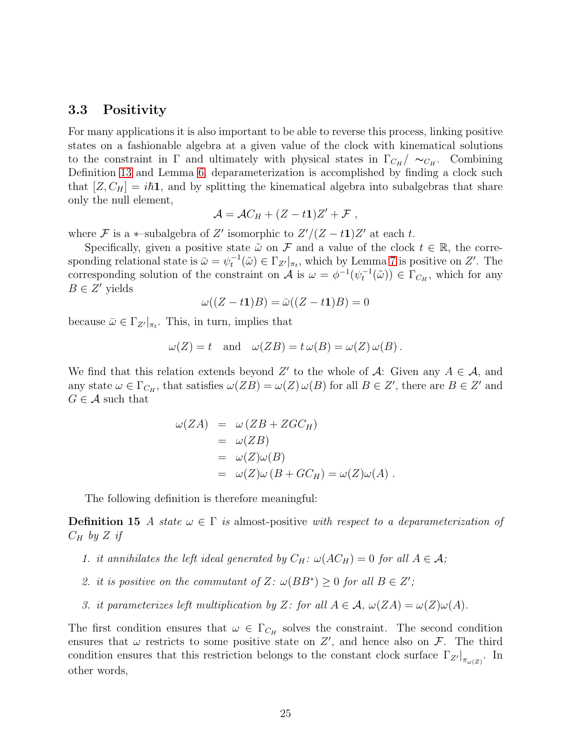#### <span id="page-24-1"></span>3.3 Positivity

For many applications it is also important to be able to reverse this process, linking positive states on a fashionable algebra at a given value of the clock with kinematical solutions to the constraint in  $\Gamma$  and ultimately with physical states in  $\Gamma_{C_H}/\sim_{C_H}$ . Combining Definition [13](#page-17-3) and Lemma [6,](#page-15-1) deparameterization is accomplished by finding a clock such that  $[Z, C_H] = i\hbar \mathbf{1}$ , and by splitting the kinematical algebra into subalgebras that share only the null element,

$$
\mathcal{A} = \mathcal{A}C_H + (Z - t\mathbf{1})Z' + \mathcal{F},
$$

where  $\mathcal F$  is a  $*$ -subalgebra of  $Z'$  isomorphic to  $Z'/(Z-t\mathbf{1})Z'$  at each t.

Specifically, given a positive state  $\tilde{\omega}$  on F and a value of the clock  $t \in \mathbb{R}$ , the corresponding relational state is  $\bar{\omega} = \psi_t^{-1}(\tilde{\omega}) \in \Gamma_{Z'}|_{\pi_t}$ , which by Lemma [7](#page-16-1) is positive on Z'. The corresponding solution of the constraint on A is  $\omega = \phi^{-1}(\psi_t^{-1}(\tilde{\omega})) \in \Gamma_{C_H}$ , which for any  $B \in Z'$  yields

$$
\omega((Z-t1)B) = \bar{\omega}((Z-t1)B) = 0
$$

because  $\bar{\omega} \in \Gamma_{Z'}|_{\pi_t}$ . This, in turn, implies that

$$
\omega(Z) = t
$$
 and  $\omega(ZB) = t \omega(B) = \omega(Z) \omega(B)$ .

We find that this relation extends beyond  $Z'$  to the whole of A: Given any  $A \in \mathcal{A}$ , and any state  $\omega \in \Gamma_{C_H}$ , that satisfies  $\omega(ZB) = \omega(Z) \omega(B)$  for all  $B \in Z'$ , there are  $B \in Z'$  and  $G \in \mathcal{A}$  such that

<span id="page-24-2"></span>
$$
\omega(ZA) = \omega (ZB + ZGC_H)
$$
  
=  $\omega(ZB)$   
=  $\omega(Z)\omega(B)$   
=  $\omega(Z)\omega (B + GC_H) = \omega(Z)\omega(A)$ .

The following definition is therefore meaningful:

**Definition 15** A state  $\omega \in \Gamma$  is almost-positive with respect to a deparameterization of  $C_H$  by Z if

- 1. it annihilates the left ideal generated by  $C_H$ :  $\omega(AC_H) = 0$  for all  $A \in \mathcal{A}$ ;
- 2. it is positive on the commutant of  $Z: \omega(BB^*) \geq 0$  for all  $B \in Z'$ ;
- 3. it parameterizes left multiplication by Z: for all  $A \in \mathcal{A}$ ,  $\omega(ZA) = \omega(Z)\omega(A)$ .

<span id="page-24-0"></span>The first condition ensures that  $\omega \in \Gamma_{C_H}$  solves the constraint. The second condition ensures that  $\omega$  restricts to some positive state on  $Z'$ , and hence also on  $\mathcal{F}$ . The third condition ensures that this restriction belongs to the constant clock surface  $\Gamma_{Z'}|_{\pi_{\omega(Z)}}$ . In other words,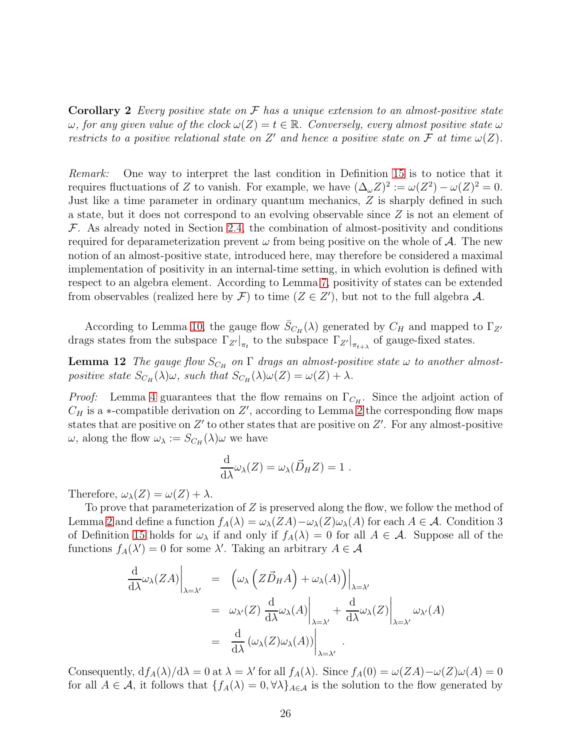Corollary 2 Every positive state on  $\mathcal F$  has a unique extension to an almost-positive state  $\omega$ , for any given value of the clock  $\omega(Z) = t \in \mathbb{R}$ . Conversely, every almost positive state  $\omega$ restricts to a positive relational state on  $Z'$  and hence a positive state on  $\mathcal F$  at time  $\omega(Z)$ .

Remark: One way to interpret the last condition in Definition [15](#page-24-2) is to notice that it requires fluctuations of Z to vanish. For example, we have  $(\Delta_{\omega}Z)^2 := \omega(Z^2) - \omega(Z)^2 = 0$ . Just like a time parameter in ordinary quantum mechanics, Z is sharply defined in such a state, but it does not correspond to an evolving observable since Z is not an element of  $F$ . As already noted in Section [2.4,](#page-14-2) the combination of almost-positivity and conditions required for deparameterization prevent  $\omega$  from being positive on the whole of A. The new notion of an almost-positive state, introduced here, may therefore be considered a maximal implementation of positivity in an internal-time setting, in which evolution is defined with respect to an algebra element. According to Lemma [7,](#page-16-1) positivity of states can be extended from observables (realized here by  $\mathcal{F}$ ) to time  $(Z \in Z')$ , but not to the full algebra  $\mathcal{A}$ .

According to Lemma [10,](#page-22-2) the gauge flow  $\bar{S}_{C_H}(\lambda)$  generated by  $C_H$  and mapped to  $\Gamma_{Z'}$ drags states from the subspace  $\Gamma_{Z'}|_{\pi_t}$  to the subspace  $\Gamma_{Z'}|_{\pi_{t+\lambda}}$  of gauge-fixed states.

**Lemma 12** The gauge flow  $S_{C_H}$  on  $\Gamma$  drags an almost-positive state  $\omega$  to another almostpositive state  $S_{C_H}(\lambda)\omega$ , such that  $S_{C_H}(\lambda)\omega(Z) = \omega(Z) + \lambda$ .

*Proof:* Lemma [4](#page-12-0) guarantees that the flow remains on  $\Gamma_{C_H}$ . Since the adjoint action of  $C_H$  is a ∗-compatible derivation on  $Z'$ , according to Lemma [2](#page-9-2) the corresponding flow maps states that are positive on  $Z'$  to other states that are positive on  $Z'$ . For any almost-positive  $\omega$ , along the flow  $\omega_{\lambda} := S_{C_H}(\lambda)\omega$  we have

$$
\frac{\mathrm{d}}{\mathrm{d}\lambda}\omega_{\lambda}(Z) = \omega_{\lambda}(\vec{D}_H Z) = 1.
$$

Therefore,  $\omega_{\lambda}(Z) = \omega(Z) + \lambda$ .

To prove that parameterization of  $Z$  is preserved along the flow, we follow the method of Lemma [2](#page-9-2) and define a function  $f_A(\lambda) = \omega_\lambda(ZA) - \omega_\lambda(Z)\omega_\lambda(A)$  for each  $A \in \mathcal{A}$ . Condition 3 of Definition [15](#page-24-2) holds for  $\omega_{\lambda}$  if and only if  $f_A(\lambda) = 0$  for all  $A \in \mathcal{A}$ . Suppose all of the functions  $f_A(\lambda') = 0$  for some  $\lambda'$ . Taking an arbitrary  $A \in \mathcal{A}$ 

$$
\frac{\mathrm{d}}{\mathrm{d}\lambda}\omega_{\lambda}(ZA)\Big|_{\lambda=\lambda'} = \left. \left( \omega_{\lambda} \left( Z\vec{D}_{H}A \right) + \omega_{\lambda}(A) \right) \right|_{\lambda=\lambda'} \n= \left. \omega_{\lambda'}(Z) \left. \frac{\mathrm{d}}{\mathrm{d}\lambda}\omega_{\lambda}(A) \right|_{\lambda=\lambda'} + \left. \frac{\mathrm{d}}{\mathrm{d}\lambda}\omega_{\lambda}(Z) \right|_{\lambda=\lambda'} \omega_{\lambda'}(A) \n= \left. \frac{\mathrm{d}}{\mathrm{d}\lambda} \left( \omega_{\lambda}(Z)\omega_{\lambda}(A) \right) \right|_{\lambda=\lambda'}.
$$

Consequently,  $df_A(\lambda)/d\lambda = 0$  at  $\lambda = \lambda'$  for all  $f_A(\lambda)$ . Since  $f_A(0) = \omega(ZA) - \omega(Z)\omega(A) = 0$ for all  $A \in \mathcal{A}$ , it follows that  $\{f_A(\lambda) = 0, \forall \lambda\}_{A \in \mathcal{A}}$  is the solution to the flow generated by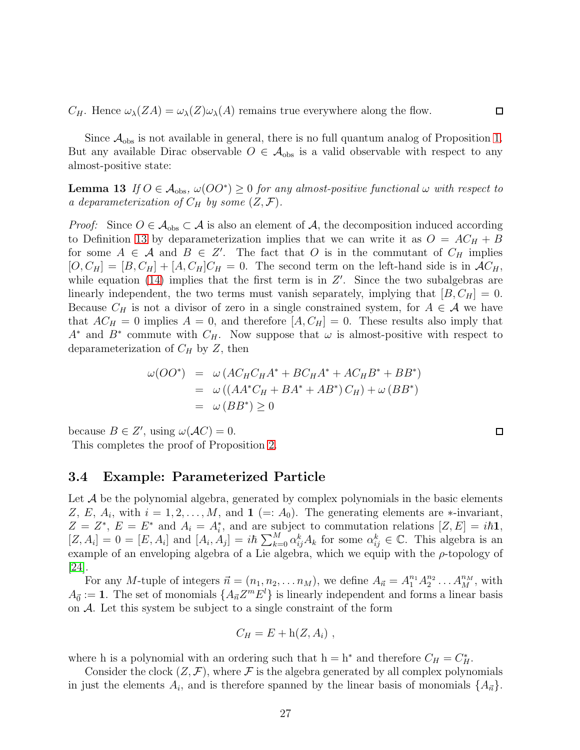$C_H$ . Hence  $\omega_{\lambda}(ZA) = \omega_{\lambda}(Z)\omega_{\lambda}(A)$  remains true everywhere along the flow.

<span id="page-26-1"></span>Since  $\mathcal{A}_{\text{obs}}$  is not available in general, there is no full quantum analog of Proposition [1.](#page-2-0) But any available Dirac observable  $O \in \mathcal{A}_{obs}$  is a valid observable with respect to any almost-positive state:

**Lemma 13** If  $O \in \mathcal{A}_{obs}$ ,  $\omega(OO^*) \geq 0$  for any almost-positive functional  $\omega$  with respect to a deparameterization of  $C_H$  by some  $(Z, \mathcal{F})$ .

*Proof:* Since  $O \in \mathcal{A}_{obs} \subset \mathcal{A}$  is also an element of  $\mathcal{A}$ , the decomposition induced according to Definition [13](#page-17-3) by deparameterization implies that we can write it as  $O = AC_H + B$ for some  $A \in \mathcal{A}$  and  $B \in \mathbb{Z}'$ . The fact that O is in the commutant of  $C_H$  implies  $[O, C_H] = [B, C_H] + [A, C_H]C_H = 0$ . The second term on the left-hand side is in  $AC_H$ , while equation  $(14)$  implies that the first term is in  $Z'$ . Since the two subalgebras are linearly independent, the two terms must vanish separately, implying that  $[B, C_H] = 0$ . Because  $C_H$  is not a divisor of zero in a single constrained system, for  $A \in \mathcal{A}$  we have that  $AC_H = 0$  implies  $A = 0$ , and therefore  $[A, C_H] = 0$ . These results also imply that  $A^*$  and  $B^*$  commute with  $C_H$ . Now suppose that  $\omega$  is almost-positive with respect to deparameterization of  $C_H$  by  $Z$ , then

$$
\omega(OO^*) = \omega (AC_H C_H A^* + BC_H A^* + AC_H B^* + BB^*)
$$
  
=  $\omega ((AA^* C_H + BA^* + AB^*) C_H) + \omega (BB^*)$   
=  $\omega (BB^*) \ge 0$ 

because  $B \in Z'$ , using  $\omega(\mathcal{A}C) = 0$ .

<span id="page-26-0"></span>This completes the proof of Proposition [2.](#page-17-6)

#### 3.4 Example: Parameterized Particle

Let  $A$  be the polynomial algebra, generated by complex polynomials in the basic elements Z, E,  $A_i$ , with  $i = 1, 2, ..., M$ , and  $\mathbf{1} (= A_0)$ . The generating elements are  $*$ -invariant,  $Z = Z^*, E = E^*$  and  $A_i = A_i^*$ , and are subject to commutation relations  $[Z, E] = i\hbar \mathbf{1}$ ,  $[Z, A_i] = 0 = [E, A_i]$  and  $[A_i, A_j] = i\hbar \sum_{k=0}^M \alpha_{ij}^k A_k$  for some  $\alpha_{ij}^k \in \mathbb{C}$ . This algebra is an example of an enveloping algebra of a Lie algebra, which we equip with the  $\rho$ -topology of [\[24\]](#page-40-8).

For any M-tuple of integers  $\vec{n} = (n_1, n_2, \ldots n_M)$ , we define  $A_{\vec{n}} = A_1^{n_1} A_2^{n_2} \ldots A_M^{n_M}$ , with  $A_{\vec{0}} := 1$ . The set of monomials  $\{A_{\vec{n}}Z^mE^l\}$  is linearly independent and forms a linear basis on A. Let this system be subject to a single constraint of the form

$$
C_H = E + h(Z, A_i) ,
$$

where h is a polynomial with an ordering such that  $h = h^*$  and therefore  $C_H = C_H^*$ .

Consider the clock  $(Z, \mathcal{F})$ , where  $\mathcal F$  is the algebra generated by all complex polynomials in just the elements  $A_i$ , and is therefore spanned by the linear basis of monomials  $\{A_{\vec{n}}\}$ .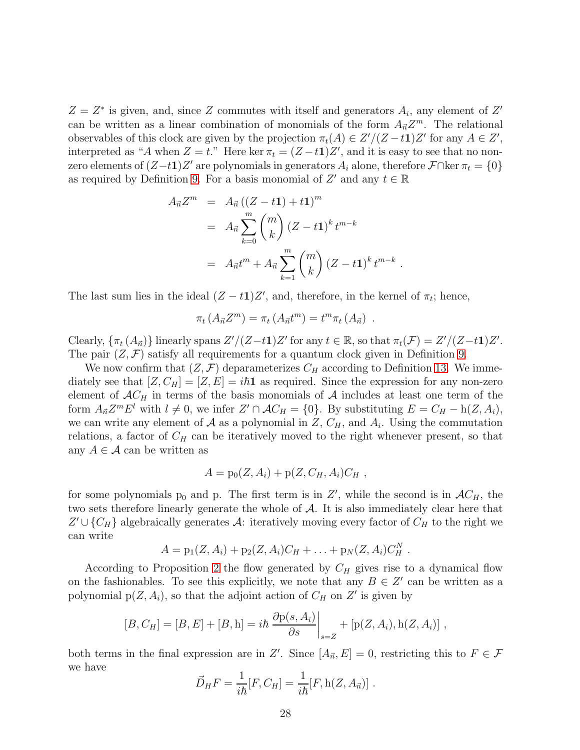$Z = Z^*$  is given, and, since Z commutes with itself and generators  $A_i$ , any element of Z' can be written as a linear combination of monomials of the form  $A_{\vec{n}}Z^m$ . The relational observables of this clock are given by the projection  $\pi_t(A) \in Z'/(Z-t\mathbf{1})Z'$  for any  $A \in Z'$ , interpreted as "A when  $Z = t$ ." Here ker  $\pi_t = (Z - t\mathbf{1})Z'$ , and it is easy to see that no nonzero elements of  $(Z-t1)Z'$  are polynomials in generators  $A_i$  alone, therefore  $\mathcal{F} \cap \ker \pi_t = \{0\}$ as required by Definition [9.](#page-14-3) For a basis monomial of  $Z'$  and any  $t \in \mathbb{R}$ 

$$
A_{\vec{n}} Z^m = A_{\vec{n}} ((Z - t\mathbf{1}) + t\mathbf{1})^m
$$
  
=  $A_{\vec{n}} \sum_{k=0}^m {m \choose k} (Z - t\mathbf{1})^k t^{m-k}$   
=  $A_{\vec{n}} t^m + A_{\vec{n}} \sum_{k=1}^m {m \choose k} (Z - t\mathbf{1})^k t^{m-k}$ 

.

The last sum lies in the ideal  $(Z - t1)Z'$ , and, therefore, in the kernel of  $\pi_t$ ; hence,

$$
\pi_t(A_{\vec{n}}Z^m)=\pi_t(A_{\vec{n}}t^m)=t^m\pi_t(A_{\vec{n}}).
$$

Clearly,  $\{\pi_t(A_{\vec{n}})\}\$ linearly spans  $Z'/(Z-t\mathbf{1})Z'$  for any  $t \in \mathbb{R}$ , so that  $\pi_t(\mathcal{F}) = Z'/(Z-t\mathbf{1})Z'.$ The pair  $(Z, \mathcal{F})$  satisfy all requirements for a quantum clock given in Definition [9.](#page-14-3)

We now confirm that  $(Z, \mathcal{F})$  deparameterizes  $C_H$  according to Definition [13.](#page-17-3) We immediately see that  $[Z, C_H] = [Z, E] = i\hbar \mathbf{1}$  as required. Since the expression for any non-zero element of  $AC_H$  in terms of the basis monomials of A includes at least one term of the form  $A_{\vec{n}}Z^mE^l$  with  $l \neq 0$ , we infer  $Z' \cap AC_H = \{0\}$ . By substituting  $E = C_H - h(Z, A_i)$ , we can write any element of  $A$  as a polynomial in  $Z$ ,  $C_H$ , and  $A_i$ . Using the commutation relations, a factor of  $C_H$  can be iteratively moved to the right whenever present, so that any  $A \in \mathcal{A}$  can be written as

$$
A = p_0(Z, A_i) + p(Z, C_H, A_i)C_H,
$$

for some polynomials  $p_0$  and p. The first term is in Z', while the second is in  $AC_H$ , the two sets therefore linearly generate the whole of A. It is also immediately clear here that  $Z' \cup \{C_H\}$  algebraically generates A: iteratively moving every factor of  $C_H$  to the right we can write

$$
A = p_1(Z, A_i) + p_2(Z, A_i)C_H + \ldots + p_N(Z, A_i)C_H^N.
$$

According to Proposition [2](#page-17-6) the flow generated by  $C_H$  gives rise to a dynamical flow on the fashionables. To see this explicitly, we note that any  $B \in \mathbb{Z}'$  can be written as a polynomial  $p(Z, A_i)$ , so that the adjoint action of  $C_H$  on  $Z'$  is given by

$$
[B, C_H] = [B, E] + [B, h] = i\hbar \left. \frac{\partial p(s, A_i)}{\partial s} \right|_{s = Z} + [p(Z, A_i), h(Z, A_i)],
$$

both terms in the final expression are in Z'. Since  $[A_{\vec{n}}, E] = 0$ , restricting this to  $F \in \mathcal{F}$ we have

$$
\vec{D}_H F = \frac{1}{i\hbar} [F, C_H] = \frac{1}{i\hbar} [F, h(Z, A_{\vec{n}})].
$$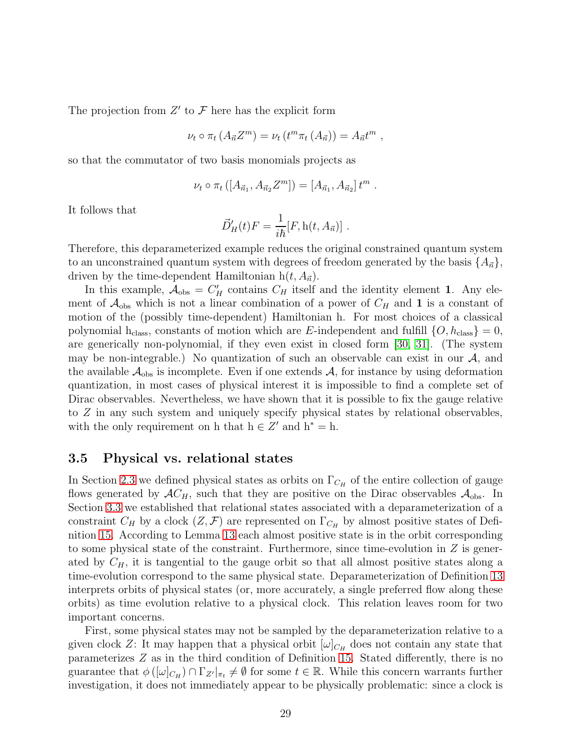The projection from  $Z'$  to  $\mathcal F$  here has the explicit form

$$
\nu_t \circ \pi_t (A_{\vec{n}} Z^m) = \nu_t (t^m \pi_t (A_{\vec{n}})) = A_{\vec{n}} t^m ,
$$

so that the commutator of two basis monomials projects as

$$
\nu_t \circ \pi_t ([A_{\vec{n}_1}, A_{\vec{n}_2} Z^m]) = [A_{\vec{n}_1}, A_{\vec{n}_2}] t^m.
$$

It follows that

$$
\vec{D}'_H(t)F = \frac{1}{i\hbar}[F, \mathbf{h}(t, A_{\vec{n}})].
$$

Therefore, this deparameterized example reduces the original constrained quantum system to an unconstrained quantum system with degrees of freedom generated by the basis  $\{A_{\vec{n}}\},\$ driven by the time-dependent Hamiltonian  $h(t, A_{\vec{n}})$ .

In this example,  $A_{obs} = C_H'$  contains  $C_H$  itself and the identity element 1. Any element of  $\mathcal{A}_{obs}$  which is not a linear combination of a power of  $C_H$  and 1 is a constant of motion of the (possibly time-dependent) Hamiltonian h. For most choices of a classical polynomial h<sub>class</sub>, constants of motion which are E-independent and fulfill  $\{O, h_{\text{class}}\} = 0$ , are generically non-polynomial, if they even exist in closed form [\[30,](#page-40-11) [31\]](#page-41-0). (The system may be non-integrable.) No quantization of such an observable can exist in our  $A$ , and the available  $\mathcal{A}_{\text{obs}}$  is incomplete. Even if one extends  $\mathcal{A}$ , for instance by using deformation quantization, in most cases of physical interest it is impossible to find a complete set of Dirac observables. Nevertheless, we have shown that it is possible to fix the gauge relative to Z in any such system and uniquely specify physical states by relational observables, with the only requirement on h that  $h \in Z'$  and  $h^* = h$ .

#### <span id="page-28-0"></span>3.5 Physical vs. relational states

In Section [2.3](#page-10-0) we defined physical states as orbits on  $\Gamma_{C_H}$  of the entire collection of gauge flows generated by  $AC_H$ , such that they are positive on the Dirac observables  $A_{obs}$ . In Section [3.3](#page-24-1) we established that relational states associated with a deparameterization of a constraint  $C_H$  by a clock  $(Z, \mathcal{F})$  are represented on  $\Gamma_{C_H}$  by almost positive states of Definition [15.](#page-24-2) According to Lemma [13](#page-26-1) each almost positive state is in the orbit corresponding to some physical state of the constraint. Furthermore, since time-evolution in  $Z$  is generated by  $C_H$ , it is tangential to the gauge orbit so that all almost positive states along a time-evolution correspond to the same physical state. Deparameterization of Definition [13](#page-17-3) interprets orbits of physical states (or, more accurately, a single preferred flow along these orbits) as time evolution relative to a physical clock. This relation leaves room for two important concerns.

First, some physical states may not be sampled by the deparameterization relative to a given clock Z: It may happen that a physical orbit  $[\omega]_{C_H}$  does not contain any state that parameterizes Z as in the third condition of Definition [15.](#page-24-2) Stated differently, there is no guarantee that  $\phi([\omega]_{C_H}) \cap \Gamma_{Z'}|_{\pi_t} \neq \emptyset$  for some  $t \in \mathbb{R}$ . While this concern warrants further investigation, it does not immediately appear to be physically problematic: since a clock is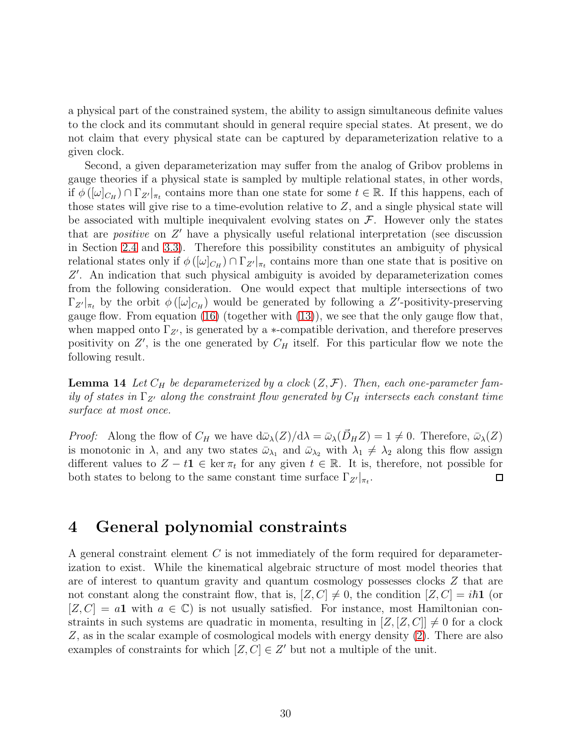a physical part of the constrained system, the ability to assign simultaneous definite values to the clock and its commutant should in general require special states. At present, we do not claim that every physical state can be captured by deparameterization relative to a given clock.

Second, a given deparameterization may suffer from the analog of Gribov problems in gauge theories if a physical state is sampled by multiple relational states, in other words, if  $\phi([\omega]_{C_H}) \cap \Gamma_{Z'}|_{\pi_t}$  contains more than one state for some  $t \in \mathbb{R}$ . If this happens, each of those states will give rise to a time-evolution relative to  $Z$ , and a single physical state will be associated with multiple inequivalent evolving states on  $\mathcal F$ . However only the states that are *positive* on Z' have a physically useful relational interpretation (see discussion in Section [2.4](#page-14-2) and [3.3\)](#page-24-1). Therefore this possibility constitutes an ambiguity of physical relational states only if  $\phi([\omega]_{C_H}) \cap \Gamma_{Z'}|_{\pi_t}$  contains more than one state that is positive on Z ′ . An indication that such physical ambiguity is avoided by deparameterization comes from the following consideration. One would expect that multiple intersections of two  $\Gamma_{Z'}|_{\pi_t}$  by the orbit  $\phi([\omega]_{C_H})$  would be generated by following a Z'-positivity-preserving gauge flow. From equation [\(16\)](#page-20-0) (together with [\(13\)](#page-19-2)), we see that the only gauge flow that, when mapped onto  $\Gamma_{Z'}$ , is generated by a  $\ast$ -compatible derivation, and therefore preserves positivity on  $Z'$ , is the one generated by  $C_H$  itself. For this particular flow we note the following result.

**Lemma 14** Let  $C_H$  be deparameterized by a clock  $(Z, \mathcal{F})$ . Then, each one-parameter family of states in  $\Gamma_{Z'}$  along the constraint flow generated by  $C_H$  intersects each constant time surface at most once.

*Proof:* Along the flow of  $C_H$  we have  $d\bar{\omega}_{\lambda}(Z)/d\lambda = \bar{\omega}_{\lambda}(\vec{D}_H Z) = 1 \neq 0$ . Therefore,  $\bar{\omega}_{\lambda}(Z)$ is monotonic in  $\lambda$ , and any two states  $\bar{\omega}_{\lambda_1}$  and  $\bar{\omega}_{\lambda_2}$  with  $\lambda_1 \neq \lambda_2$  along this flow assign different values to  $Z - t\mathbf{1} \in \text{ker } \pi_t$  for any given  $t \in \mathbb{R}$ . It is, therefore, not possible for both states to belong to the same constant time surface  $\Gamma_{Z'}|_{\pi_t}$ .

## <span id="page-29-0"></span>4 General polynomial constraints

A general constraint element C is not immediately of the form required for deparameterization to exist. While the kinematical algebraic structure of most model theories that are of interest to quantum gravity and quantum cosmology possesses clocks Z that are not constant along the constraint flow, that is,  $[Z, C] \neq 0$ , the condition  $[Z, C] = i\hbar \mathbf{1}$  (or  $[Z, C] = a1$  with  $a \in \mathbb{C}$  is not usually satisfied. For instance, most Hamiltonian constraints in such systems are quadratic in momenta, resulting in  $[Z, [Z, C]] \neq 0$  for a clock Z, as in the scalar example of cosmological models with energy density [\(2\)](#page-7-0). There are also examples of constraints for which  $[Z, C] \in Z'$  but not a multiple of the unit.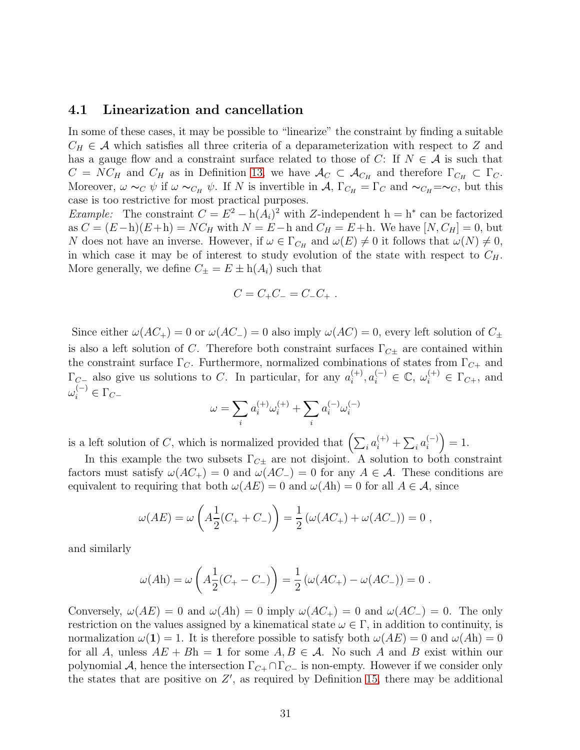#### 4.1 Linearization and cancellation

In some of these cases, it may be possible to "linearize" the constraint by finding a suitable  $C_H \in \mathcal{A}$  which satisfies all three criteria of a deparameterization with respect to Z and has a gauge flow and a constraint surface related to those of C: If  $N \in \mathcal{A}$  is such that  $C = NC_H$  and  $C_H$  as in Definition [13,](#page-17-3) we have  $\mathcal{A}_C \subset \mathcal{A}_{C_H}$  and therefore  $\Gamma_{C_H} \subset \Gamma_C$ . Moreover,  $\omega \sim_C \psi$  if  $\omega \sim_{C_H} \psi$ . If N is invertible in A,  $\Gamma_{C_H} = \Gamma_C$  and  $\sim_{C_H} = \sim_C$ , but this case is too restrictive for most practical purposes.

Example: The constraint  $C = E^2 - h(A_i)^2$  with Z-independent  $h = h^*$  can be factorized as  $C = (E - h)(E + h) = NC_H$  with  $N = E - h$  and  $C_H = E + h$ . We have  $[N, C_H] = 0$ , but N does not have an inverse. However, if  $\omega \in \Gamma_{C_H}$  and  $\omega(E) \neq 0$  it follows that  $\omega(N) \neq 0$ , in which case it may be of interest to study evolution of the state with respect to  $C_H$ . More generally, we define  $C_{\pm} = E \pm h(A_i)$  such that

$$
C = C_{+}C_{-} = C_{-}C_{+} .
$$

Since either  $\omega(AC_+) = 0$  or  $\omega(AC_-) = 0$  also imply  $\omega(AC) = 0$ , every left solution of  $C_{\pm}$ is also a left solution of C. Therefore both constraint surfaces  $\Gamma_{C\pm}$  are contained within the constraint surface  $\Gamma_C$ . Furthermore, normalized combinations of states from  $\Gamma_{C+}$  and  $\Gamma_{C-}$  also give us solutions to C. In particular, for any  $a_i^{(+)}$  $a_i^{(+)}, a_i^{(-)} \in \mathbb{C}, \omega_i^{(+)} \in \Gamma_{C+}, \text{ and}$  $\omega_i^{(-)} \in \Gamma_{C-}$ 

$$
\omega = \sum_i a_i^{(+)} \omega_i^{(+)} + \sum_i a_i^{(-)} \omega_i^{(-)}
$$

is a left solution of C, which is normalized provided that  $\left(\sum_i a_i^{(+)} + \sum_i a_i^{(-)}\right)$  $\binom{(-)}{i} = 1.$ 

In this example the two subsets  $\Gamma_{C\pm}$  are not disjoint. A solution to both constraint factors must satisfy  $\omega(AC_+) = 0$  and  $\omega(AC_-) = 0$  for any  $A \in \mathcal{A}$ . These conditions are equivalent to requiring that both  $\omega(AE) = 0$  and  $\omega(Ah) = 0$  for all  $A \in \mathcal{A}$ , since

$$
\omega(AE) = \omega \left( A \frac{1}{2} (C_+ + C_-) \right) = \frac{1}{2} \left( \omega (AC_+) + \omega (AC_-) \right) = 0,
$$

and similarly

$$
\omega(Ah) = \omega \left( A \frac{1}{2} (C_+ - C_-) \right) = \frac{1}{2} \left( \omega (AC_+) - \omega (AC_-) \right) = 0.
$$

Conversely,  $\omega(AE) = 0$  and  $\omega(Ah) = 0$  imply  $\omega(AC_+) = 0$  and  $\omega(AC_-) = 0$ . The only restriction on the values assigned by a kinematical state  $\omega \in \Gamma$ , in addition to continuity, is normalization  $\omega(1) = 1$ . It is therefore possible to satisfy both  $\omega(AE) = 0$  and  $\omega(Ah) = 0$ for all A, unless  $AE + Bh = 1$  for some  $A, B \in \mathcal{A}$ . No such A and B exist within our polynomial A, hence the intersection  $\Gamma_{C+} \cap \Gamma_{C-}$  is non-empty. However if we consider only the states that are positive on  $Z'$ , as required by Definition [15,](#page-24-2) there may be additional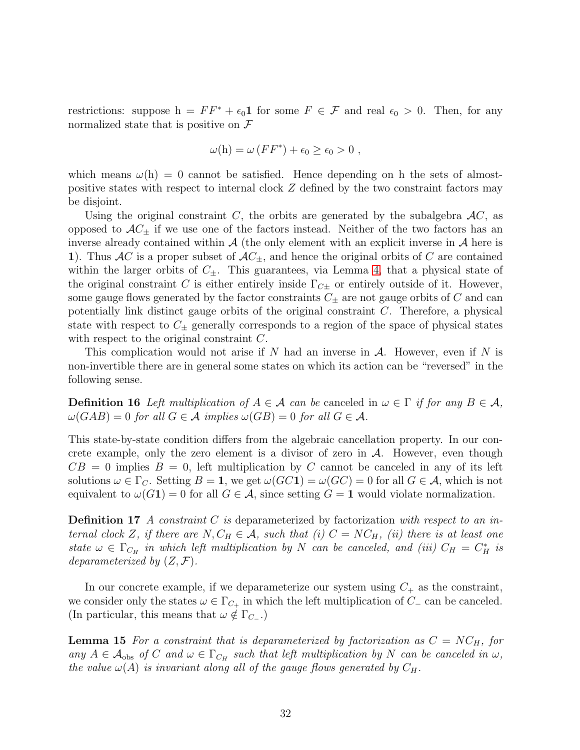restrictions: suppose  $h = FF^* + \epsilon_0 \mathbf{1}$  for some  $F \in \mathcal{F}$  and real  $\epsilon_0 > 0$ . Then, for any normalized state that is positive on  $\mathcal F$ 

$$
\omega(h) = \omega \left( FF^*\right) + \epsilon_0 \ge \epsilon_0 > 0 ,
$$

which means  $\omega(h) = 0$  cannot be satisfied. Hence depending on h the sets of almostpositive states with respect to internal clock Z defined by the two constraint factors may be disjoint.

Using the original constraint C, the orbits are generated by the subalgebra  $AC$ , as opposed to  $AC_{\pm}$  if we use one of the factors instead. Neither of the two factors has an inverse already contained within  $\mathcal A$  (the only element with an explicit inverse in  $\mathcal A$  here is 1). Thus AC is a proper subset of  $AC_{\pm}$ , and hence the original orbits of C are contained within the larger orbits of  $C_{\pm}$ . This guarantees, via Lemma [4,](#page-12-0) that a physical state of the original constraint C is either entirely inside  $\Gamma_{C\pm}$  or entirely outside of it. However, some gauge flows generated by the factor constraints  $C_{\pm}$  are not gauge orbits of C and can potentially link distinct gauge orbits of the original constraint C. Therefore, a physical state with respect to  $C_{\pm}$  generally corresponds to a region of the space of physical states with respect to the original constraint C.

This complication would not arise if N had an inverse in  $A$ . However, even if N is non-invertible there are in general some states on which its action can be "reversed" in the following sense.

**Definition 16** Left multiplication of  $A \in \mathcal{A}$  can be canceled in  $\omega \in \Gamma$  if for any  $B \in \mathcal{A}$ ,  $\omega(GAB) = 0$  for all  $G \in \mathcal{A}$  implies  $\omega(GB) = 0$  for all  $G \in \mathcal{A}$ .

This state-by-state condition differs from the algebraic cancellation property. In our concrete example, only the zero element is a divisor of zero in  $A$ . However, even though  $CB = 0$  implies  $B = 0$ , left multiplication by C cannot be canceled in any of its left solutions  $\omega \in \Gamma_C$ . Setting  $B = 1$ , we get  $\omega(GC1) = \omega(GC) = 0$  for all  $G \in \mathcal{A}$ , which is not equivalent to  $\omega(G_1) = 0$  for all  $G \in \mathcal{A}$ , since setting  $G = 1$  would violate normalization.

**Definition 17** A constraint C is deparameterized by factorization with respect to an internal clock Z, if there are  $N, C_H \in \mathcal{A}$ , such that (i)  $C = NC_H$ , (ii) there is at least one state  $\omega \in \Gamma_{C_H}$  in which left multiplication by N can be canceled, and (iii)  $C_H = C_H^*$  is deparameterized by  $(Z, \mathcal{F})$ .

In our concrete example, if we deparameterize our system using  $C_+$  as the constraint, we consider only the states  $\omega \in \Gamma_{C_+}$  in which the left multiplication of  $C_-\$  can be canceled. (In particular, this means that  $\omega \notin \Gamma_{C-}$ .)

**Lemma 15** For a constraint that is deparameterized by factorization as  $C = NC_H$ , for any  $A \in \mathcal{A}_{obs}$  of C and  $\omega \in \Gamma_{C_H}$  such that left multiplication by N can be canceled in  $\omega$ , the value  $\omega(A)$  is invariant along all of the gauge flows generated by  $C_H$ .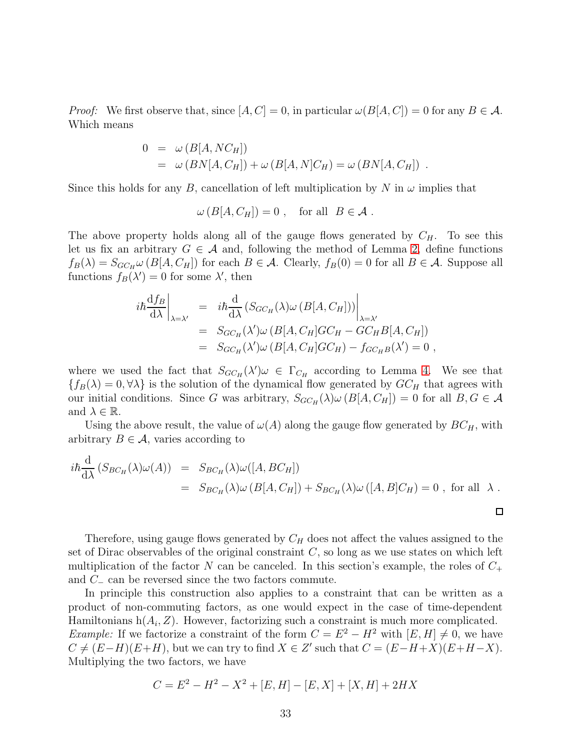*Proof:* We first observe that, since  $[A, C] = 0$ , in particular  $\omega(B[A, C]) = 0$  for any  $B \in \mathcal{A}$ . Which means

$$
0 = \omega (B[A, NC_H])
$$
  
=  $\omega (BN[A, C_H]) + \omega (B[A, N]C_H) = \omega (BN[A, C_H])$ .

Since this holds for any B, cancellation of left multiplication by N in  $\omega$  implies that

$$
\omega(B[A, C_H]) = 0 , \text{ for all } B \in \mathcal{A} .
$$

The above property holds along all of the gauge flows generated by  $C_H$ . To see this let us fix an arbitrary  $G \in \mathcal{A}$  and, following the method of Lemma [2,](#page-9-2) define functions  $f_B(\lambda) = S_{GC_H} \omega (B[A, C_H])$  for each  $B \in \mathcal{A}$ . Clearly,  $f_B(0) = 0$  for all  $B \in \mathcal{A}$ . Suppose all functions  $f_B(\lambda') = 0$  for some  $\lambda'$ , then

$$
i\hbar \frac{df_B}{d\lambda}\Big|_{\lambda=\lambda'} = i\hbar \frac{d}{d\lambda} \left(S_{GC_H}(\lambda)\omega \left(B[A, C_H]\right)\right)\Big|_{\lambda=\lambda'}
$$
  
= 
$$
S_{GC_H}(\lambda')\omega \left(B[A, C_H]GC_H - GC_HB[A, C_H]\right)
$$
  
= 
$$
S_{GC_H}(\lambda')\omega \left(B[A, C_H]GC_H\right) - f_{GC_HB}(\lambda') = 0,
$$

where we used the fact that  $S_{GC_H}(\lambda')\omega \in \Gamma_{C_H}$  according to Lemma [4.](#page-12-0) We see that  ${f_B(\lambda) = 0, \forall \lambda}$  is the solution of the dynamical flow generated by  $GC_H$  that agrees with our initial conditions. Since G was arbitrary,  $S_{GC_H}(\lambda) \omega (B[A, C_H]) = 0$  for all  $B, G \in \mathcal{A}$ and  $\lambda \in \mathbb{R}$ .

Using the above result, the value of  $\omega(A)$  along the gauge flow generated by  $BC_H$ , with arbitrary  $B \in \mathcal{A}$ , varies according to

$$
i\hbar \frac{d}{d\lambda} (S_{BC_H}(\lambda)\omega(A)) = S_{BC_H}(\lambda)\omega([A, BC_H])
$$
  
= 
$$
S_{BC_H}(\lambda)\omega(B[A, C_H]) + S_{BC_H}(\lambda)\omega([A, B]C_H) = 0
$$
, for all  $\lambda$ .

 $\Box$ 

Therefore, using gauge flows generated by  $C_H$  does not affect the values assigned to the set of Dirac observables of the original constraint  $C$ , so long as we use states on which left multiplication of the factor N can be canceled. In this section's example, the roles of  $C_+$ and C<sup>−</sup> can be reversed since the two factors commute.

In principle this construction also applies to a constraint that can be written as a product of non-commuting factors, as one would expect in the case of time-dependent Hamiltonians  $h(A_i, Z)$ . However, factorizing such a constraint is much more complicated. Example: If we factorize a constraint of the form  $C = E^2 - H^2$  with  $[E, H] \neq 0$ , we have  $C \neq (E-H)(E+H)$ , but we can try to find  $X \in Z'$  such that  $C = (E-H+X)(E+H-X)$ . Multiplying the two factors, we have

$$
C = E2 - H2 - X2 + [E, H] - [E, X] + [X, H] + 2HX
$$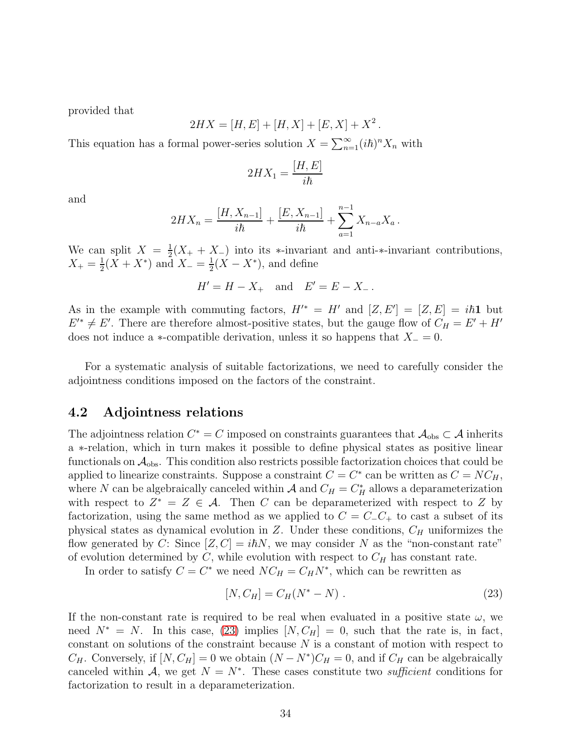provided that

$$
2HX = [H, E] + [H, X] + [E, X] + X^2.
$$

This equation has a formal power-series solution  $X = \sum_{n=1}^{\infty} (i\hbar)^n X_n$  with

$$
2HX_1 = \frac{[H, E]}{i\hbar}
$$

and

$$
2HX_n = \frac{[H, X_{n-1}]}{i\hbar} + \frac{[E, X_{n-1}]}{i\hbar} + \sum_{a=1}^{n-1} X_{n-a}X_a.
$$

We can split  $X = \frac{1}{2}$  $\frac{1}{2}(X_+ + X_-)$  into its \*-invariant and anti-\*-invariant contributions,  $X_{+}=\frac{1}{2}$  $\frac{1}{2}(X + X^*)$  and  $X_-=\frac{1}{2}$  $\frac{1}{2}(X - X^*)$ , and define

$$
H' = H - X_+
$$
 and  $E' = E - X_-$ .

As in the example with commuting factors,  $H^{\prime*} = H'$  and  $[Z, E'] = [Z, E] = i\hbar \mathbf{1}$  but  $E'^{*} \neq E'$ . There are therefore almost-positive states, but the gauge flow of  $C_H = E' + H'$ does not induce a ∗-compatible derivation, unless it so happens that  $X_ = 0$ .

For a systematic analysis of suitable factorizations, we need to carefully consider the adjointness conditions imposed on the factors of the constraint.

### 4.2 Adjointness relations

The adjointness relation  $C^* = C$  imposed on constraints guarantees that  $\mathcal{A}_{obs} \subset \mathcal{A}$  inherits a ∗-relation, which in turn makes it possible to define physical states as positive linear functionals on  $A_{obs}$ . This condition also restricts possible factorization choices that could be applied to linearize constraints. Suppose a constraint  $C = C^*$  can be written as  $C = NC_H$ , where N can be algebraically canceled within  $A$  and  $C_H = C_H^*$  allows a deparameterization with respect to  $Z^* = Z \in \mathcal{A}$ . Then C can be deparameterized with respect to Z by factorization, using the same method as we applied to  $C = C_1 C_+$  to cast a subset of its physical states as dynamical evolution in  $Z$ . Under these conditions,  $C_H$  uniformizes the flow generated by C: Since  $[Z, C] = i\hbar N$ , we may consider N as the "non-constant rate" of evolution determined by C, while evolution with respect to  $C_H$  has constant rate.

In order to satisfy  $C = C^*$  we need  $NC_H = C_H N^*$ , which can be rewritten as

<span id="page-33-0"></span>
$$
[N, C_H] = C_H (N^* - N) . \t\t(23)
$$

If the non-constant rate is required to be real when evaluated in a positive state  $\omega$ , we need  $N^* = N$ . In this case, [\(23\)](#page-33-0) implies  $[N, C_H] = 0$ , such that the rate is, in fact, constant on solutions of the constraint because N is a constant of motion with respect to  $C_H$ . Conversely, if  $[N, C_H] = 0$  we obtain  $(N - N^*)C_H = 0$ , and if  $C_H$  can be algebraically canceled within A, we get  $N = N^*$ . These cases constitute two *sufficient* conditions for factorization to result in a deparameterization.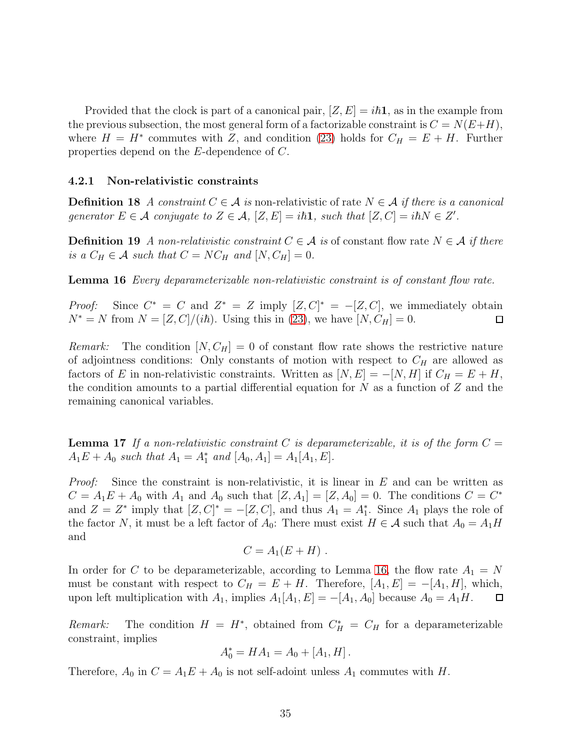Provided that the clock is part of a canonical pair,  $[Z, E] = i\hbar \mathbf{1}$ , as in the example from the previous subsection, the most general form of a factorizable constraint is  $C = N(E+H)$ , where  $H = H^*$  commutes with Z, and condition [\(23\)](#page-33-0) holds for  $C_H = E + H$ . Further properties depend on the E-dependence of C.

#### 4.2.1 Non-relativistic constraints

**Definition 18** A constraint  $C \in \mathcal{A}$  is non-relativistic of rate  $N \in \mathcal{A}$  if there is a canonical generator  $E \in \mathcal{A}$  conjugate to  $Z \in \mathcal{A}$ ,  $[Z, E] = i\hbar \mathbf{1}$ , such that  $[Z, C] = i\hbar N \in Z'$ .

**Definition 19** A non-relativistic constraint  $C \in \mathcal{A}$  is of constant flow rate  $N \in \mathcal{A}$  if there is a  $C_H \in \mathcal{A}$  such that  $C = NC_H$  and  $[N, C_H] = 0$ .

<span id="page-34-0"></span>Lemma 16 *Every deparameterizable non-relativistic constraint is of constant flow rate.* 

*Proof:* Since  $C^* = C$  and  $Z^* = Z$  imply  $[Z, C]^* = -[Z, C]$ , we immediately obtain  $N^* = N$  from  $N = [Z, C]/(i\hbar)$ . Using this in [\(23\)](#page-33-0), we have  $[N, C_H] = 0$ .

*Remark:* The condition  $[N, C_H] = 0$  of constant flow rate shows the restrictive nature of adjointness conditions: Only constants of motion with respect to  $C_H$  are allowed as factors of E in non-relativistic constraints. Written as  $[N, E] = -[N, H]$  if  $C_H = E + H$ , the condition amounts to a partial differential equation for  $N$  as a function of  $Z$  and the remaining canonical variables.

**Lemma 17** If a non-relativistic constraint C is deparameterizable, it is of the form  $C =$  $A_1E + A_0$  such that  $A_1 = A_1^*$  and  $[A_0, A_1] = A_1[A_1, E]$ .

*Proof:* Since the constraint is non-relativistic, it is linear in  $E$  and can be written as  $C = A_1E + A_0$  with  $A_1$  and  $A_0$  such that  $[Z, A_1] = [Z, A_0] = 0$ . The conditions  $C = C^*$ and  $Z = Z^*$  imply that  $[Z, C]^* = -[Z, C]$ , and thus  $A_1 = A_1^*$ . Since  $A_1$  plays the role of the factor N, it must be a left factor of  $A_0$ : There must exist  $H \in \mathcal{A}$  such that  $A_0 = A_1 H$ and

$$
C=A_1(E+H)\ .
$$

In order for C to be deparameterizable, according to Lemma [16,](#page-34-0) the flow rate  $A_1 = N$ must be constant with respect to  $C_H = E + H$ . Therefore,  $[A_1, E] = -[A_1, H]$ , which, upon left multiplication with  $A_1$ , implies  $A_1[A_1, E] = -[A_1, A_0]$  because  $A_0 = A_1H$ .  $\Box$ 

Remark: The condition  $H = H^*$ , obtained from  $C_H^* = C_H$  for a deparameterizable constraint, implies

$$
A_0^* = HA_1 = A_0 + [A_1, H].
$$

Therefore,  $A_0$  in  $C = A_1E + A_0$  is not self-adoint unless  $A_1$  commutes with H.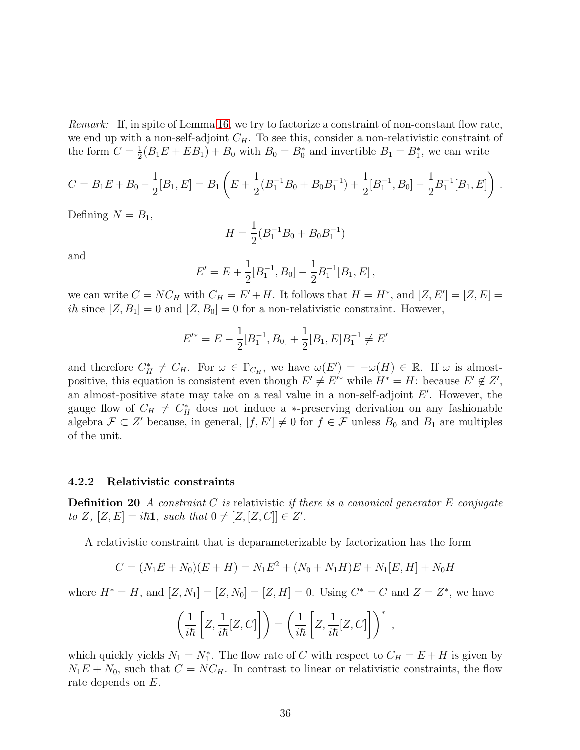Remark: If, in spite of Lemma [16,](#page-34-0) we try to factorize a constraint of non-constant flow rate, we end up with a non-self-adjoint  $C_H$ . To see this, consider a non-relativistic constraint of the form  $C=\frac{1}{2}$  $\frac{1}{2}(B_1E + EB_1) + B_0$  with  $B_0 = B_0^*$  and invertible  $B_1 = B_1^*$ , we can write

$$
C = B_1 E + B_0 - \frac{1}{2}[B_1, E] = B_1 \left( E + \frac{1}{2}(B_1^{-1}B_0 + B_0B_1^{-1}) + \frac{1}{2}[B_1^{-1}, B_0] - \frac{1}{2}B_1^{-1}[B_1, E] \right).
$$

Defining  $N = B_1$ ,

$$
H = \frac{1}{2}(B_1^{-1}B_0 + B_0B_1^{-1})
$$

and

$$
E' = E + \frac{1}{2}[B_1^{-1}, B_0] - \frac{1}{2}B_1^{-1}[B_1, E],
$$

we can write  $C = NC_H$  with  $C_H = E' + H$ . It follows that  $H = H^*$ , and  $[Z, E'] = [Z, E] =$  $i\hbar$  since  $[Z, B_1] = 0$  and  $[Z, B_0] = 0$  for a non-relativistic constraint. However,

$$
E'^* = E - \frac{1}{2}[B_1^{-1}, B_0] + \frac{1}{2}[B_1, E]B_1^{-1} \neq E'
$$

and therefore  $C_H^* \neq C_H$ . For  $\omega \in \Gamma_{C_H}$ , we have  $\omega(E') = -\omega(H) \in \mathbb{R}$ . If  $\omega$  is almostpositive, this equation is consistent even though  $E' \neq E'^*$  while  $H^* = H$ : because  $E' \notin Z'$ , an almost-positive state may take on a real value in a non-self-adjoint E′ . However, the gauge flow of  $C_H \neq C_H^*$  does not induce a ∗-preserving derivation on any fashionable algebra  $\mathcal{F} \subset Z'$  because, in general,  $[f, E'] \neq 0$  for  $f \in \mathcal{F}$  unless  $B_0$  and  $B_1$  are multiples of the unit.

#### 4.2.2 Relativistic constraints

**Definition 20** A constraint C is relativistic if there is a canonical generator E conjugate to Z,  $[Z, E] = i\hbar \mathbf{1}$ , such that  $0 \neq [Z, [Z, C]] \in Z'$ .

A relativistic constraint that is deparameterizable by factorization has the form

$$
C = (N_1E + N_0)(E + H) = N_1E^2 + (N_0 + N_1H)E + N_1[E, H] + N_0H
$$

where  $H^* = H$ , and  $[Z, N_1] = [Z, N_0] = [Z, H] = 0$ . Using  $C^* = C$  and  $Z = Z^*$ , we have

$$
\left(\frac{1}{i\hbar}\left[Z,\frac{1}{i\hbar}[Z,C]\right]\right) = \left(\frac{1}{i\hbar}\left[Z,\frac{1}{i\hbar}[Z,C]\right]\right)^*,
$$

<span id="page-35-0"></span>which quickly yields  $N_1 = N_1^*$ . The flow rate of C with respect to  $C_H = E + H$  is given by  $N_1E + N_0$ , such that  $C = NC_H$ . In contrast to linear or relativistic constraints, the flow rate depends on E.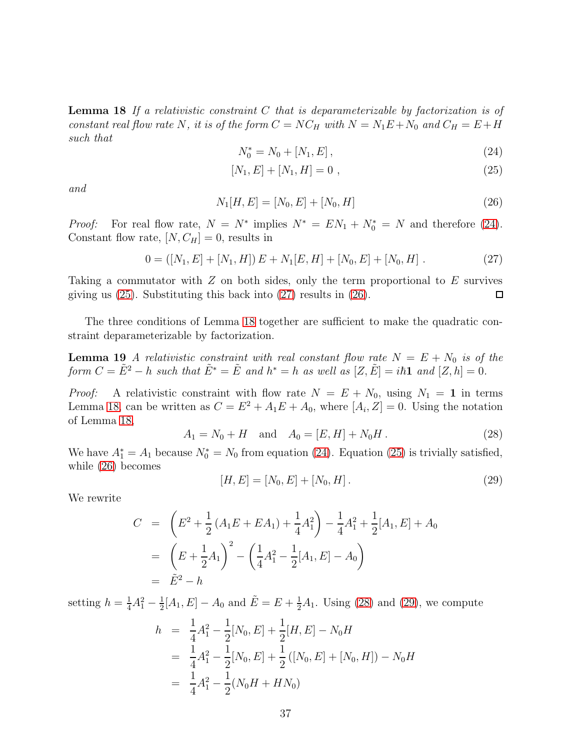**Lemma 18** If a relativistic constraint C that is deparameterizable by factorization is of constant real flow rate N, it is of the form  $C = NC_H$  with  $N = N_1E + N_0$  and  $C_H = E + H$ such that

<span id="page-36-0"></span>
$$
N_0^* = N_0 + [N_1, E], \qquad (24)
$$

<span id="page-36-1"></span>
$$
[N_1, E] + [N_1, H] = 0 \t\t(25)
$$

and

<span id="page-36-3"></span>
$$
N_1[H, E] = [N_0, E] + [N_0, H]
$$
\n(26)

*Proof:* For real flow rate,  $N = N^*$  implies  $N^* = EN_1 + N_0^* = N$  and therefore [\(24\)](#page-36-0). Constant flow rate,  $[N, C_H] = 0$ , results in

<span id="page-36-2"></span>
$$
0 = ([N_1, E] + [N_1, H]) E + N_1[E, H] + [N_0, E] + [N_0, H]. \qquad (27)
$$

Taking a commutator with  $Z$  on both sides, only the term proportional to  $E$  survives giving us [\(25\)](#page-36-1). Substituting this back into [\(27\)](#page-36-2) results in [\(26\)](#page-36-3). □

The three conditions of Lemma [18](#page-35-0) together are sufficient to make the quadratic constraint deparameterizable by factorization.

**Lemma 19** A relativistic constraint with real constant flow rate  $N = E + N_0$  is of the form  $C = \tilde{E}^2 - h$  such that  $\tilde{E}^* = \tilde{E}$  and  $h^* = h$  as well as  $[Z, \tilde{E}] = i\hbar \mathbf{1}$  and  $[Z, h] = 0$ .

*Proof:* A relativistic constraint with flow rate  $N = E + N_0$ , using  $N_1 = 1$  in terms Lemma [18,](#page-35-0) can be written as  $C = E^2 + A_1 E + A_0$ , where  $[A_i, Z] = 0$ . Using the notation of Lemma [18,](#page-35-0)

<span id="page-36-4"></span>
$$
A_1 = N_0 + H \quad \text{and} \quad A_0 = [E, H] + N_0 H. \tag{28}
$$

We have  $A_1^* = A_1$  because  $N_0^* = N_0$  from equation [\(24\)](#page-36-0). Equation [\(25\)](#page-36-1) is trivially satisfied, while [\(26\)](#page-36-3) becomes

<span id="page-36-5"></span>
$$
[H, E] = [N_0, E] + [N_0, H]. \tag{29}
$$

We rewrite

$$
C = \left(E^2 + \frac{1}{2}(A_1E + EA_1) + \frac{1}{4}A_1^2\right) - \frac{1}{4}A_1^2 + \frac{1}{2}[A_1, E] + A_0
$$
  
=  $\left(E + \frac{1}{2}A_1\right)^2 - \left(\frac{1}{4}A_1^2 - \frac{1}{2}[A_1, E] - A_0\right)$   
=  $\tilde{E}^2 - h$ 

setting  $h = \frac{1}{4}A_1^2 - \frac{1}{2}$  $\frac{1}{2}[A_1, E] - A_0$  and  $\tilde{E} = E + \frac{1}{2}A_1$ . Using [\(28\)](#page-36-4) and [\(29\)](#page-36-5), we compute

$$
h = \frac{1}{4}A_1^2 - \frac{1}{2}[N_0, E] + \frac{1}{2}[H, E] - N_0H
$$
  
=  $\frac{1}{4}A_1^2 - \frac{1}{2}[N_0, E] + \frac{1}{2}([N_0, E] + [N_0, H]) - N_0H$   
=  $\frac{1}{4}A_1^2 - \frac{1}{2}(N_0H + HN_0)$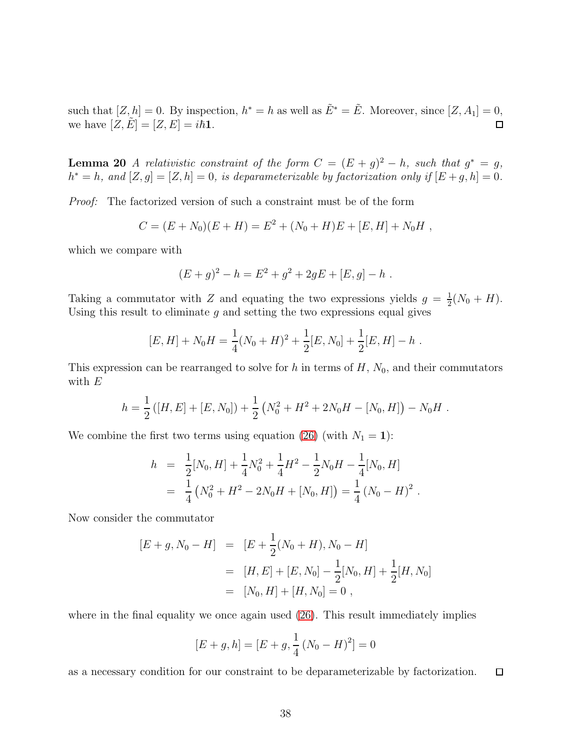<span id="page-37-0"></span>such that  $[Z, h] = 0$ . By inspection,  $h^* = h$  as well as  $\tilde{E}^* = \tilde{E}$ . Moreover, since  $[Z, A_1] = 0$ , we have  $[Z, \tilde{E}] = [Z, E] = i\hbar \mathbf{1}.$  $\Box$ 

**Lemma 20** A relativistic constraint of the form  $C = (E + g)^2 - h$ , such that  $g^* = g$ ,  $h^* = h$ , and  $[Z, g] = [Z, h] = 0$ , is deparameterizable by factorization only if  $[E + g, h] = 0$ .

Proof: The factorized version of such a constraint must be of the form

$$
C = (E + N_0)(E + H) = E^2 + (N_0 + H)E + [E, H] + N_0H,
$$

which we compare with

$$
(E+g)^2 - h = E^2 + g^2 + 2gE + [E, g] - h.
$$

Taking a commutator with Z and equating the two expressions yields  $g = \frac{1}{2}$  $\frac{1}{2}(N_0 + H).$ Using this result to eliminate  $g$  and setting the two expressions equal gives

$$
[E, H] + N_0 H = \frac{1}{4}(N_0 + H)^2 + \frac{1}{2}[E, N_0] + \frac{1}{2}[E, H] - h.
$$

This expression can be rearranged to solve for h in terms of  $H$ ,  $N_0$ , and their commutators with  $E$ 

$$
h = \frac{1}{2} ([H, E] + [E, N_0]) + \frac{1}{2} (N_0^2 + H^2 + 2N_0H - [N_0, H]) - N_0H.
$$

We combine the first two terms using equation [\(26\)](#page-36-3) (with  $N_1 = 1$ ):

$$
h = \frac{1}{2}[N_0, H] + \frac{1}{4}N_0^2 + \frac{1}{4}H^2 - \frac{1}{2}N_0H - \frac{1}{4}[N_0, H]
$$
  
=  $\frac{1}{4}(N_0^2 + H^2 - 2N_0H + [N_0, H]) = \frac{1}{4}(N_0 - H)^2$ .

Now consider the commutator

$$
[E+g, N_0 - H] = [E + \frac{1}{2}(N_0 + H), N_0 - H]
$$
  
= [H, E] + [E, N\_0] -  $\frac{1}{2}$ [N\_0, H] +  $\frac{1}{2}$ [H, N\_0]  
= [N\_0, H] + [H, N\_0] = 0,

where in the final equality we once again used  $(26)$ . This result immediately implies

$$
[E+g,h] = [E+g, \frac{1}{4}(N_0 - H)^2] = 0
$$

as a necessary condition for our constraint to be deparameterizable by factorization.  $\Box$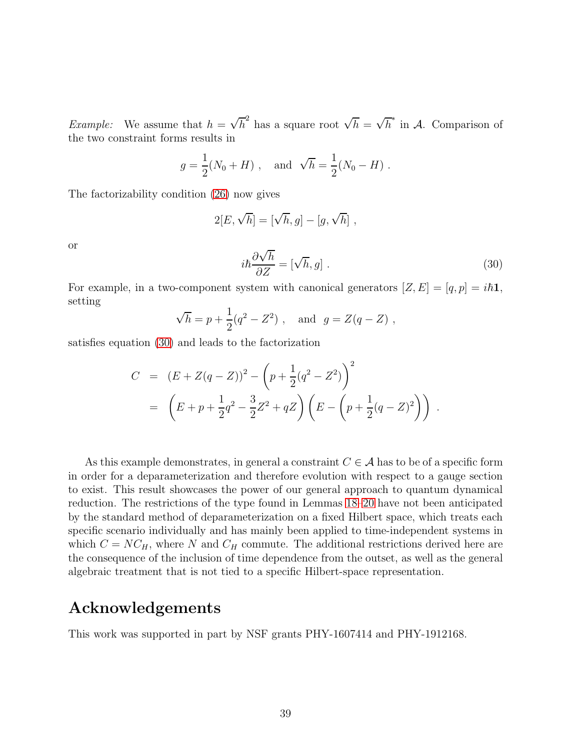*Example:* We assume that  $h = \sqrt{h}^2$  has a square root  $\sqrt{h} = \sqrt{h}^*$  in A. Comparison of the two constraint forms results in

$$
g = \frac{1}{2}(N_0 + H)
$$
, and  $\sqrt{h} = \frac{1}{2}(N_0 - H)$ .

The factorizability condition [\(26\)](#page-36-3) now gives

$$
2[E, \sqrt{h}] = [\sqrt{h}, g] - [g, \sqrt{h}],
$$

or

<span id="page-38-0"></span>
$$
i\hbar \frac{\partial \sqrt{h}}{\partial Z} = [\sqrt{h}, g] \tag{30}
$$

For example, in a two-component system with canonical generators  $[Z, E] = [q, p] = i\hbar \mathbf{1}$ , setting

$$
\sqrt{h} = p + \frac{1}{2}(q^2 - Z^2)
$$
, and  $g = Z(q - Z)$ ,

satisfies equation [\(30\)](#page-38-0) and leads to the factorization

$$
C = (E + Z(q - Z))^{2} - \left(p + \frac{1}{2}(q^{2} - Z^{2})\right)^{2}
$$
  
=  $\left(E + p + \frac{1}{2}q^{2} - \frac{3}{2}Z^{2} + qZ\right)\left(E - \left(p + \frac{1}{2}(q - Z)^{2}\right)\right)$ .

As this example demonstrates, in general a constraint  $C \in \mathcal{A}$  has to be of a specific form in order for a deparameterization and therefore evolution with respect to a gauge section to exist. This result showcases the power of our general approach to quantum dynamical reduction. The restrictions of the type found in Lemmas [18](#page-35-0)[–20](#page-37-0) have not been anticipated by the standard method of deparameterization on a fixed Hilbert space, which treats each specific scenario individually and has mainly been applied to time-independent systems in which  $C = NC_H$ , where N and  $C_H$  commute. The additional restrictions derived here are the consequence of the inclusion of time dependence from the outset, as well as the general algebraic treatment that is not tied to a specific Hilbert-space representation.

## Acknowledgements

This work was supported in part by NSF grants PHY-1607414 and PHY-1912168.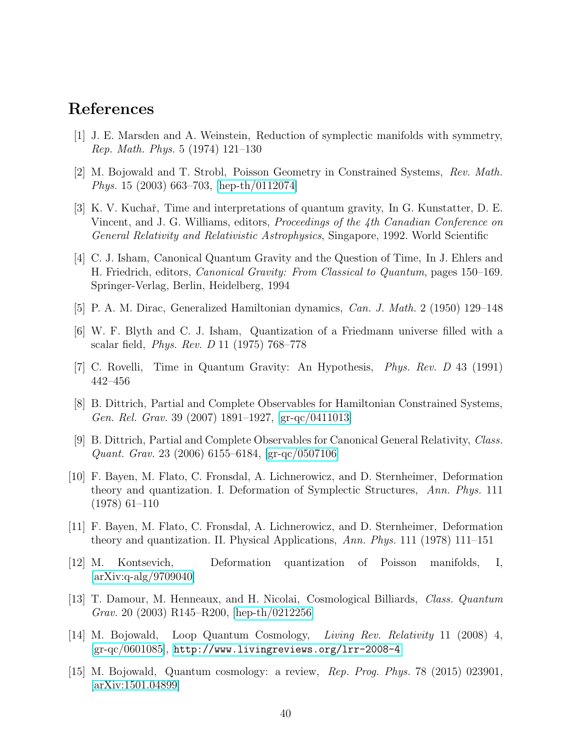### <span id="page-39-0"></span>References

- <span id="page-39-1"></span>[1] J. E. Marsden and A. Weinstein, Reduction of symplectic manifolds with symmetry, Rep. Math. Phys. 5 (1974) 121–130
- <span id="page-39-2"></span>[2] M. Bojowald and T. Strobl, Poisson Geometry in Constrained Systems, Rev. Math. Phys. 15 (2003) 663–703, [\[hep-th/0112074\]](http://arxiv.org/abs/hep-th/0112074)
- [3] K. V. Kuchař, Time and interpretations of quantum gravity, In G. Kunstatter, D. E. Vincent, and J. G. Williams, editors, Proceedings of the 4th Canadian Conference on General Relativity and Relativistic Astrophysics, Singapore, 1992. World Scientific
- <span id="page-39-3"></span>[4] C. J. Isham, Canonical Quantum Gravity and the Question of Time, In J. Ehlers and H. Friedrich, editors, Canonical Gravity: From Classical to Quantum, pages 150–169. Springer-Verlag, Berlin, Heidelberg, 1994
- <span id="page-39-5"></span><span id="page-39-4"></span>[5] P. A. M. Dirac, Generalized Hamiltonian dynamics, Can. J. Math. 2 (1950) 129–148
- <span id="page-39-6"></span>[6] W. F. Blyth and C. J. Isham, Quantization of a Friedmann universe filled with a scalar field, Phys. Rev. D 11 (1975) 768–778
- <span id="page-39-7"></span>[7] C. Rovelli, Time in Quantum Gravity: An Hypothesis, Phys. Rev. D 43 (1991) 442–456
- <span id="page-39-8"></span>[8] B. Dittrich, Partial and Complete Observables for Hamiltonian Constrained Systems, Gen. Rel. Grav. 39 (2007) 1891–1927, [\[gr-qc/0411013\]](http://arxiv.org/abs/gr-qc/0411013)
- [9] B. Dittrich, Partial and Complete Observables for Canonical General Relativity, Class. Quant. Grav. 23 (2006) 6155–6184, [\[gr-qc/0507106\]](http://arxiv.org/abs/gr-qc/0507106)
- <span id="page-39-9"></span>[10] F. Bayen, M. Flato, C. Fronsdal, A. Lichnerowicz, and D. Sternheimer, Deformation theory and quantization. I. Deformation of Symplectic Structures, Ann. Phys. 111 (1978) 61–110
- <span id="page-39-10"></span>[11] F. Bayen, M. Flato, C. Fronsdal, A. Lichnerowicz, and D. Sternheimer, Deformation theory and quantization. II. Physical Applications, Ann. Phys. 111 (1978) 111–151
- <span id="page-39-11"></span>[12] M. Kontsevich, Deformation quantization of Poisson manifolds, I, [\[arXiv:q-alg/9709040\]](http://arxiv.org/abs/q-alg/9709040)
- <span id="page-39-12"></span>[13] T. Damour, M. Henneaux, and H. Nicolai, Cosmological Billiards, Class. Quantum Grav. 20 (2003) R145–R200, [\[hep-th/0212256\]](http://arxiv.org/abs/hep-th/0212256)
- <span id="page-39-13"></span>[14] M. Bojowald, Loop Quantum Cosmology, Living Rev. Relativity 11 (2008) 4,  $|gr-qc/0601085|$ , <http://www.livingreviews.org/lrr-2008-4>
- <span id="page-39-14"></span>[15] M. Bojowald, Quantum cosmology: a review, Rep. Prog. Phys. 78 (2015) 023901, [\[arXiv:1501.04899\]](http://arxiv.org/abs/1501.04899)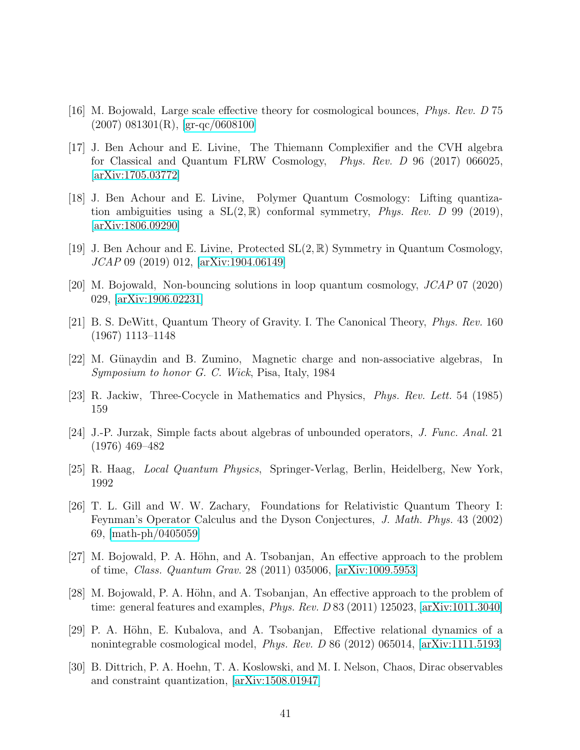- <span id="page-40-1"></span><span id="page-40-0"></span>[16] M. Bojowald, Large scale effective theory for cosmological bounces, Phys. Rev. D 75  $(2007)$  081301(R), [\[gr-qc/0608100\]](http://arxiv.org/abs/gr-qc/0608100)
- [17] J. Ben Achour and E. Livine, The Thiemann Complexifier and the CVH algebra for Classical and Quantum FLRW Cosmology, Phys. Rev. D 96 (2017) 066025, [\[arXiv:1705.03772\]](http://arxiv.org/abs/1705.03772)
- <span id="page-40-2"></span>[18] J. Ben Achour and E. Livine, Polymer Quantum Cosmology: Lifting quantization ambiguities using a  $SL(2,\mathbb{R})$  conformal symmetry, *Phys. Rev.* D 99 (2019), [\[arXiv:1806.09290\]](http://arxiv.org/abs/1806.09290)
- <span id="page-40-4"></span><span id="page-40-3"></span>[19] J. Ben Achour and E. Livine, Protected  $SL(2,\mathbb{R})$  Symmetry in Quantum Cosmology, JCAP 09 (2019) 012, [\[arXiv:1904.06149\]](http://arxiv.org/abs/1904.06149)
- <span id="page-40-5"></span>[20] M. Bojowald, Non-bouncing solutions in loop quantum cosmology, JCAP 07 (2020) 029, [\[arXiv:1906.02231\]](http://arxiv.org/abs/1906.02231)
- <span id="page-40-6"></span>[21] B. S. DeWitt, Quantum Theory of Gravity. I. The Canonical Theory, Phys. Rev. 160 (1967) 1113–1148
- <span id="page-40-7"></span>[22] M. Günaydin and B. Zumino, Magnetic charge and non-associative algebras, In Symposium to honor G. C. Wick, Pisa, Italy, 1984
- <span id="page-40-8"></span>[23] R. Jackiw, Three-Cocycle in Mathematics and Physics, Phys. Rev. Lett. 54 (1985) 159
- <span id="page-40-9"></span>[24] J.-P. Jurzak, Simple facts about algebras of unbounded operators, J. Func. Anal. 21 (1976) 469–482
- <span id="page-40-10"></span>[25] R. Haag, Local Quantum Physics, Springer-Verlag, Berlin, Heidelberg, New York, 1992
- [26] T. L. Gill and W. W. Zachary, Foundations for Relativistic Quantum Theory I: Feynman's Operator Calculus and the Dyson Conjectures, J. Math. Phys. 43 (2002) 69, [\[math-ph/0405059\]](http://arxiv.org/abs/math-ph/0405059)
- <span id="page-40-12"></span>[27] M. Bojowald, P. A. Höhn, and A. Tsobanjan, An effective approach to the problem of time, Class. Quantum Grav. 28 (2011) 035006, [\[arXiv:1009.5953\]](http://arxiv.org/abs/1009.5953)
- <span id="page-40-13"></span>[28] M. Bojowald, P. A. Höhn, and A. Tsobanjan, An effective approach to the problem of time: general features and examples, *Phys. Rev. D* 83 (2011) 125023,  $\left[\text{arXiv:1011.3040}\right]$
- <span id="page-40-14"></span>[29] P. A. Höhn, E. Kubalova, and A. Tsobanjan, Effective relational dynamics of a nonintegrable cosmological model, Phys. Rev. D 86 (2012) 065014, [\[arXiv:1111.5193\]](http://arxiv.org/abs/1111.5193)
- <span id="page-40-11"></span>[30] B. Dittrich, P. A. Hoehn, T. A. Koslowski, and M. I. Nelson, Chaos, Dirac observables and constraint quantization, [\[arXiv:1508.01947\]](http://arxiv.org/abs/1508.01947)